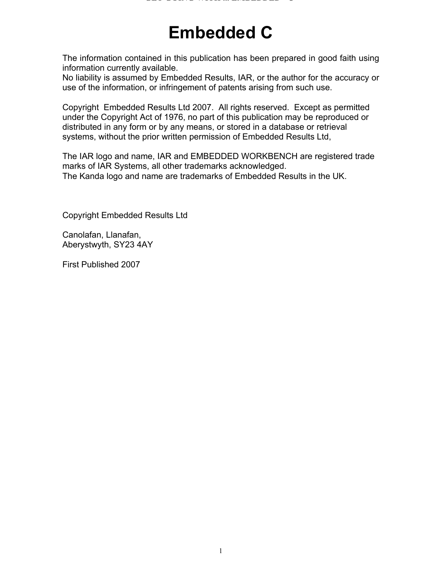# **Embedded C**

The information contained in this publication has been prepared in good faith using information currently available.

No liability is assumed by Embedded Results, IAR, or the author for the accuracy or use of the information, or infringement of patents arising from such use.

Copyright Embedded Results Ltd 2007. All rights reserved. Except as permitted under the Copyright Act of 1976, no part of this publication may be reproduced or distributed in any form or by any means, or stored in a database or retrieval systems, without the prior written permission of Embedded Results Ltd,

The IAR logo and name, IAR and EMBEDDED WORKBENCH are registered trade marks of IAR Systems, all other trademarks acknowledged. The Kanda logo and name are trademarks of Embedded Results in the UK.

Copyright Embedded Results Ltd

Canolafan, Llanafan, Aberystwyth, SY23 4AY

First Published 2007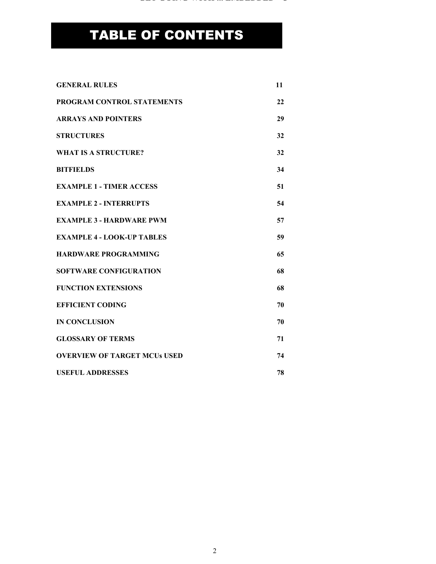# TABLE OF CONTENTS

| <b>GENERAL RULES</b>                | 11 |
|-------------------------------------|----|
| <b>PROGRAM CONTROL STATEMENTS</b>   | 22 |
| <b>ARRAYS AND POINTERS</b>          | 29 |
| <b>STRUCTURES</b>                   | 32 |
| <b>WHAT IS A STRUCTURE?</b>         | 32 |
| <b>BITFIELDS</b>                    | 34 |
| <b>EXAMPLE 1 - TIMER ACCESS</b>     | 51 |
| <b>EXAMPLE 2 - INTERRUPTS</b>       | 54 |
| <b>EXAMPLE 3 - HARDWARE PWM</b>     | 57 |
| <b>EXAMPLE 4 - LOOK-UP TABLES</b>   | 59 |
| <b>HARDWARE PROGRAMMING</b>         | 65 |
| <b>SOFTWARE CONFIGURATION</b>       | 68 |
| <b>FUNCTION EXTENSIONS</b>          | 68 |
| <b>EFFICIENT CODING</b>             | 70 |
| <b>IN CONCLUSION</b>                | 70 |
| <b>GLOSSARY OF TERMS</b>            | 71 |
| <b>OVERVIEW OF TARGET MCUs USED</b> | 74 |
| <b>USEFUL ADDRESSES</b>             | 78 |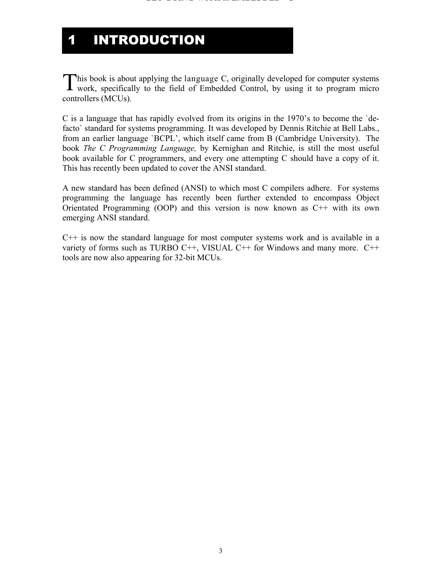## 1 INTRODUCTION

his book is about applying the language C, originally developed for computer systems This book is about applying the language C, originally developed for computer systems work, specifically to the field of Embedded Control, by using it to program micro controllers (MCUs).

C is a language that has rapidly evolved from its origins in the 1970's to become the `defacto` standard for systems programming. It was developed by Dennis Ritchie at Bell Labs., from an earlier language `BCPL', which itself came from B (Cambridge University). The book *The C Programming Language,* by Kernighan and Ritchie, is still the most useful book available for C programmers, and every one attempting C should have a copy of it. This has recently been updated to cover the ANSI standard.

A new standard has been defined (ANSI) to which most C compilers adhere. For systems programming the language has recently been further extended to encompass Object Orientated Programming (OOP) and this version is now known as C++ with its own emerging ANSI standard.

 $C++$  is now the standard language for most computer systems work and is available in a variety of forms such as TURBO  $C++$ , VISUAL  $C++$  for Windows and many more.  $C++$ tools are now also appearing for 32-bit MCUs.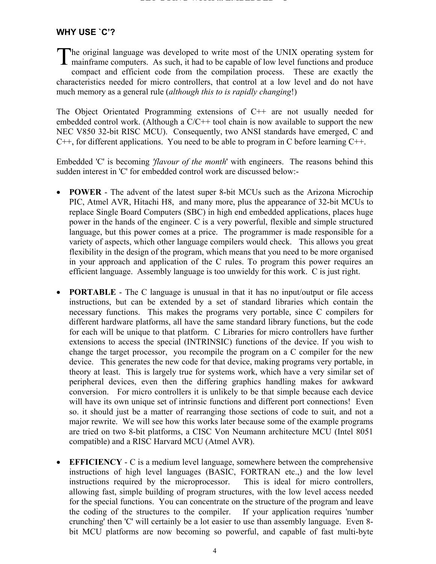#### **WHY USE `C'?**

he original language was developed to write most of the UNIX operating system for The original language was developed to write most of the UNIX operating system for mainframe computers. As such, it had to be capable of low level functions and produce compact and efficient code from the compilation process. These are exactly the characteristics needed for micro controllers, that control at a low level and do not have much memory as a general rule (*although this to is rapidly changing*!)

The Object Orientated Programming extensions of C++ are not usually needed for embedded control work. (Although a  $C/C++$  tool chain is now available to support the new NEC V850 32-bit RISC MCU). Consequently, two ANSI standards have emerged, C and C++, for different applications. You need to be able to program in C before learning C++.

Embedded 'C' is becoming *'flavour of the month*' with engineers. The reasons behind this sudden interest in 'C' for embedded control work are discussed below:-

- **POWER** The advent of the latest super 8-bit MCUs such as the Arizona Microchip PIC, Atmel AVR, Hitachi H8, and many more, plus the appearance of 32-bit MCUs to replace Single Board Computers (SBC) in high end embedded applications, places huge power in the hands of the engineer. C is a very powerful, flexible and simple structured language, but this power comes at a price. The programmer is made responsible for a variety of aspects, which other language compilers would check. This allows you great flexibility in the design of the program, which means that you need to be more organised in your approach and application of the C rules. To program this power requires an efficient language. Assembly language is too unwieldy for this work. C is just right.
- **PORTABLE** The C language is unusual in that it has no input/output or file access instructions, but can be extended by a set of standard libraries which contain the necessary functions. This makes the programs very portable, since C compilers for different hardware platforms, all have the same standard library functions, but the code for each will be unique to that platform. C Libraries for micro controllers have further extensions to access the special (INTRINSIC) functions of the device. If you wish to change the target processor, you recompile the program on a C compiler for the new device. This generates the new code for that device, making programs very portable, in theory at least. This is largely true for systems work, which have a very similar set of peripheral devices, even then the differing graphics handling makes for awkward conversion. For micro controllers it is unlikely to be that simple because each device will have its own unique set of intrinsic functions and different port connections! Even so. it should just be a matter of rearranging those sections of code to suit, and not a major rewrite. We will see how this works later because some of the example programs are tried on two 8-bit platforms, a CISC Von Neumann architecture MCU (Intel 8051 compatible) and a RISC Harvard MCU (Atmel AVR).
- **EFFICIENCY** C is a medium level language, somewhere between the comprehensive instructions of high level languages (BASIC, FORTRAN etc.,) and the low level instructions required by the microprocessor. This is ideal for micro controllers, allowing fast, simple building of program structures, with the low level access needed for the special functions. You can concentrate on the structure of the program and leave the coding of the structures to the compiler. If your application requires 'number crunching' then 'C' will certainly be a lot easier to use than assembly language. Even 8 bit MCU platforms are now becoming so powerful, and capable of fast multi-byte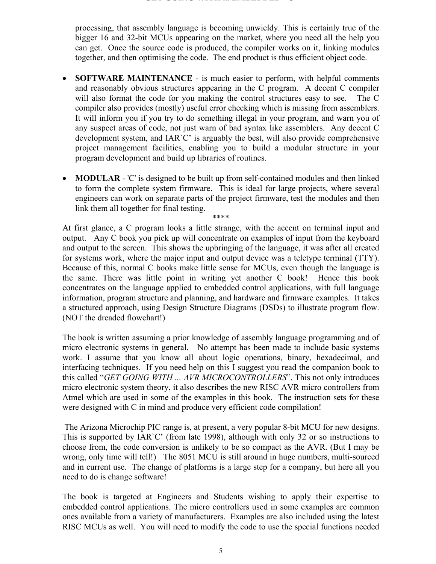processing, that assembly language is becoming unwieldy. This is certainly true of the bigger 16 and 32-bit MCUs appearing on the market, where you need all the help you can get. Once the source code is produced, the compiler works on it, linking modules together, and then optimising the code. The end product is thus efficient object code.

- **SOFTWARE MAINTENANCE** is much easier to perform, with helpful comments and reasonably obvious structures appearing in the C program. A decent C compiler will also format the code for you making the control structures easy to see. The C compiler also provides (mostly) useful error checking which is missing from assemblers. It will inform you if you try to do something illegal in your program, and warn you of any suspect areas of code, not just warn of bad syntax like assemblers. Any decent C development system, and IAR`C' is arguably the best, will also provide comprehensive project management facilities, enabling you to build a modular structure in your program development and build up libraries of routines.
- **MODULAR** 'C' is designed to be built up from self-contained modules and then linked to form the complete system firmware. This is ideal for large projects, where several engineers can work on separate parts of the project firmware, test the modules and then link them all together for final testing.

\*\*\*\* At first glance, a C program looks a little strange, with the accent on terminal input and output. Any C book you pick up will concentrate on examples of input from the keyboard and output to the screen. This shows the upbringing of the language, it was after all created for systems work, where the major input and output device was a teletype terminal (TTY). Because of this, normal C books make little sense for MCUs, even though the language is the same. There was little point in writing yet another C book! Hence this book concentrates on the language applied to embedded control applications, with full language information, program structure and planning, and hardware and firmware examples. It takes a structured approach, using Design Structure Diagrams (DSDs) to illustrate program flow. (NOT the dreaded flowchart!)

The book is written assuming a prior knowledge of assembly language programming and of micro electronic systems in general. No attempt has been made to include basic systems work. I assume that you know all about logic operations, binary, hexadecimal, and interfacing techniques. If you need help on this I suggest you read the companion book to this called "*GET GOING WITH ... AVR MICROCONTROLLERS*". This not only introduces micro electronic system theory, it also describes the new RISC AVR micro controllers from Atmel which are used in some of the examples in this book. The instruction sets for these were designed with C in mind and produce very efficient code compilation!

 The Arizona Microchip PIC range is, at present, a very popular 8-bit MCU for new designs. This is supported by IAR`C' (from late 1998), although with only 32 or so instructions to choose from, the code conversion is unlikely to be so compact as the AVR. (But I may be wrong, only time will tell!) The 8051 MCU is still around in huge numbers, multi-sourced and in current use. The change of platforms is a large step for a company, but here all you need to do is change software!

The book is targeted at Engineers and Students wishing to apply their expertise to embedded control applications. The micro controllers used in some examples are common ones available from a variety of manufacturers. Examples are also included using the latest RISC MCUs as well. You will need to modify the code to use the special functions needed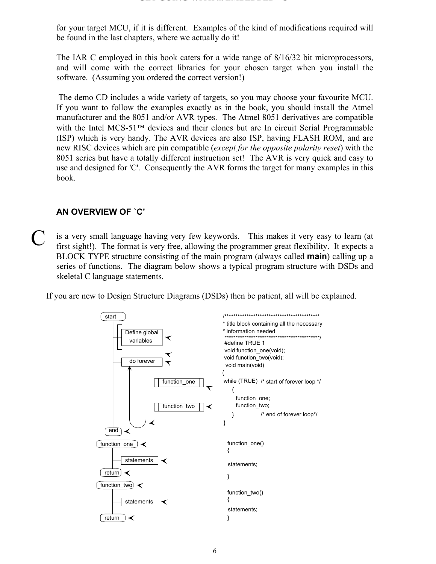for your target MCU, if it is different. Examples of the kind of modifications required will be found in the last chapters, where we actually do it!

The IAR C employed in this book caters for a wide range of 8/16/32 bit microprocessors, and will come with the correct libraries for your chosen target when you install the software. (Assuming you ordered the correct version!)

 The demo CD includes a wide variety of targets, so you may choose your favourite MCU. If you want to follow the examples exactly as in the book, you should install the Atmel manufacturer and the 8051 and/or AVR types. The Atmel 8051 derivatives are compatible with the Intel MCS-51 $<sup>TM</sup>$  devices and their clones but are In circuit Serial Programmable</sup> (ISP) which is very handy. The AVR devices are also ISP, having FLASH ROM, and are new RISC devices which are pin compatible (*except for the opposite polarity reset*) with the 8051 series but have a totally different instruction set! The AVR is very quick and easy to use and designed for 'C'. Consequently the AVR forms the target for many examples in this book.

#### **AN OVERVIEW OF `C'**

is a very small language having very few keywords. This makes it very easy to learn (at first sight!). The format is very free, allowing the programmer great flexibility. It expects a BLOCK TYPE structure consisting of the main program (always called **main**) calling up a series of functions. The diagram below shows a typical program structure with DSDs and skeletal C language statements. C

If you are new to Design Structure Diagrams (DSDs) then be patient, all will be explained.

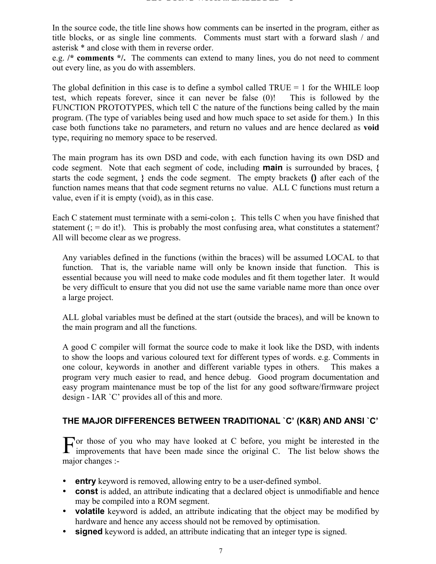In the source code, the title line shows how comments can be inserted in the program, either as title blocks, or as single line comments. Comments must start with a forward slash / and asterisk \* and close with them in reverse order.

e.g. **/\* comments \*/.** The comments can extend to many lines, you do not need to comment out every line, as you do with assemblers.

The global definition in this case is to define a symbol called  $TRUE = 1$  for the WHILE loop test, which repeats forever, since it can never be false (0)! This is followed by the FUNCTION PROTOTYPES, which tell C the nature of the functions being called by the main program. (The type of variables being used and how much space to set aside for them.) In this case both functions take no parameters, and return no values and are hence declared as **void** type, requiring no memory space to be reserved.

The main program has its own DSD and code, with each function having its own DSD and code segment. Note that each segment of code, including **main** is surrounded by braces, **{** starts the code segment, **}** ends the code segment. The empty brackets **()** after each of the function names means that that code segment returns no value. ALL C functions must return a value, even if it is empty (void), as in this case.

Each C statement must terminate with a semi-colon **;**. This tells C when you have finished that statement  $($ ; = do it!). This is probably the most confusing area, what constitutes a statement? All will become clear as we progress.

Any variables defined in the functions (within the braces) will be assumed LOCAL to that function. That is, the variable name will only be known inside that function. This is essential because you will need to make code modules and fit them together later. It would be very difficult to ensure that you did not use the same variable name more than once over a large project.

ALL global variables must be defined at the start (outside the braces), and will be known to the main program and all the functions.

A good C compiler will format the source code to make it look like the DSD, with indents to show the loops and various coloured text for different types of words. e.g. Comments in one colour, keywords in another and different variable types in others. This makes a program very much easier to read, and hence debug. Good program documentation and easy program maintenance must be top of the list for any good software/firmware project design - IAR `C' provides all of this and more.

#### **THE MAJOR DIFFERENCES BETWEEN TRADITIONAL `C' (K&R) AND ANSI `C'**

or those of you who may have looked at C before, you might be interested in the For those of you who may have looked at C before, you might be interested in the improvements that have been made since the original C. The list below shows the major changes :-

- **entry** keyword is removed, allowing entry to be a user-defined symbol.
- **const** is added, an attribute indicating that a declared object is unmodifiable and hence may be compiled into a ROM segment.
- **volatile** keyword is added, an attribute indicating that the object may be modified by hardware and hence any access should not be removed by optimisation.
- **signed** keyword is added, an attribute indicating that an integer type is signed.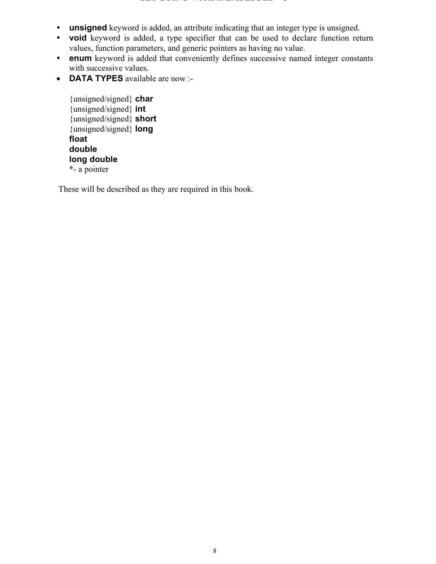#### **GET GOING WITH ... EMBEDDED C**

- **unsigned** keyword is added, an attribute indicating that an integer type is unsigned.
- **void** keyword is added, a type specifier that can be used to declare function return values, function parameters, and generic pointers as having no value.
- **enum** keyword is added that conveniently defines successive named integer constants with successive values.
- **DATA TYPES** available are now :-

{unsigned/signed} **char** {unsigned/signed} **int** {unsigned/signed} **short** {unsigned/signed} **long float double long double** \*- a pointer

These will be described as they are required in this book.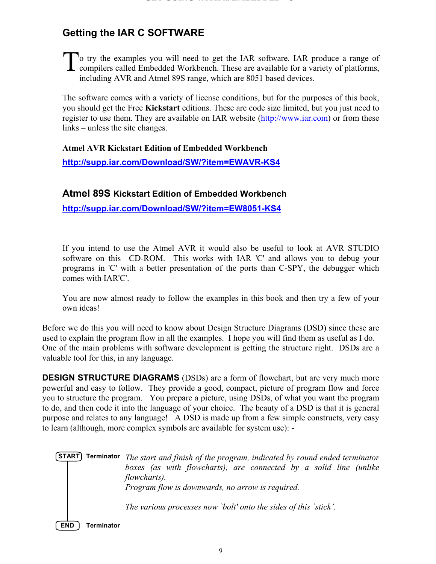## **Getting the IAR C SOFTWARE**

 $\Gamma$ o try the examples you will need to get the IAR software. IAR produce a range of To try the examples you will need to get the IAR software. IAR produce a range of compilers called Embedded Workbench. These are available for a variety of platforms, including AVR and Atmel 89S range, which are 8051 based devices.

The software comes with a variety of license conditions, but for the purposes of this book, you should get the Free **Kickstart** editions. These are code size limited, but you just need to register to use them. They are available on IAR website (http://www.iar.com) or from these links – unless the site changes.

**Atmel AVR Kickstart Edition of Embedded Workbench**

**http://supp.iar.com/Download/SW/?item=EWAVR-KS4**

**Atmel 89S Kickstart Edition of Embedded Workbench**

**http://supp.iar.com/Download/SW/?item=EW8051-KS4**

If you intend to use the Atmel AVR it would also be useful to look at AVR STUDIO software on this CD-ROM. This works with IAR 'C' and allows you to debug your programs in 'C' with a better presentation of the ports than C-SPY, the debugger which comes with IAR'C'.

You are now almost ready to follow the examples in this book and then try a few of your own ideas!

Before we do this you will need to know about Design Structure Diagrams (DSD) since these are used to explain the program flow in all the examples. I hope you will find them as useful as I do. One of the main problems with software development is getting the structure right. DSDs are a valuable tool for this, in any language.

**DESIGN STRUCTURE DIAGRAMS** (DSDs) are a form of flowchart, but are very much more powerful and easy to follow. They provide a good, compact, picture of program flow and force you to structure the program. You prepare a picture, using DSDs, of what you want the program to do, and then code it into the language of your choice. The beauty of a DSD is that it is general purpose and relates to any language! A DSD is made up from a few simple constructs, very easy to learn (although, more complex symbols are available for system use): -

*The start and finish of the program, indicated by round ended terminator* **START Terminator** *boxes (as with flowcharts), are connected by a solid line (unlike flowcharts). Program flow is downwards, no arrow is required. The various processes now `bolt' onto the sides of this `stick'.*

**END Terminator**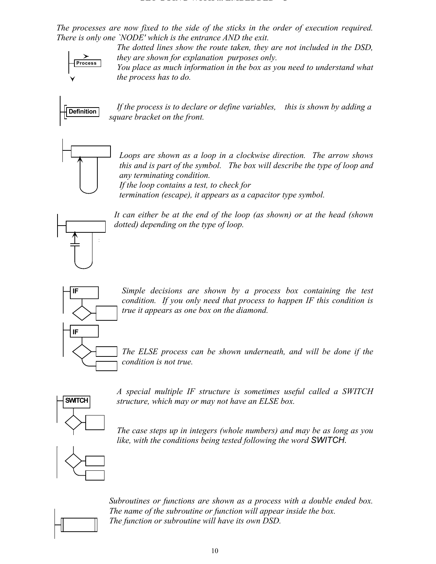*The processes are now fixed to the side of the sticks in the order of execution required. There is only one `NODE' which is the entrance AND the exit.*

> *The dotted lines show the route taken, they are not included in the DSD, they are shown for explanation purposes only.*



*You place as much information in the box as you need to understand what the process has to do.*



*If the process is to declare or define variables, this is shown by adding a square bracket on the front.*



*Loops are shown as a loop in a clockwise direction. The arrow shows this and is part of the symbol. The box will describe the type of loop and any terminating condition. If the loop contains a test, to check for*

*termination (escape), it appears as a capacitor type symbol.*



*It can either be at the end of the loop (as shown) or at the head (shown dotted) depending on the type of loop.*



*Simple decisions are shown by a process box containing the test condition. If you only need that process to happen IF this condition is true it appears as one box on the diamond.*

*The ELSE process can be shown underneath, and will be done if the condition is not true.*



*A special multiple IF structure is sometimes useful called a SWITCH structure, which may or may not have an ELSE box.*

*The case steps up in integers (whole numbers) and may be as long as you like, with the conditions being tested following the word SWITCH.*



*Subroutines or functions are shown as a process with a double ended box. The name of the subroutine or function will appear inside the box. The function or subroutine will have its own DSD.*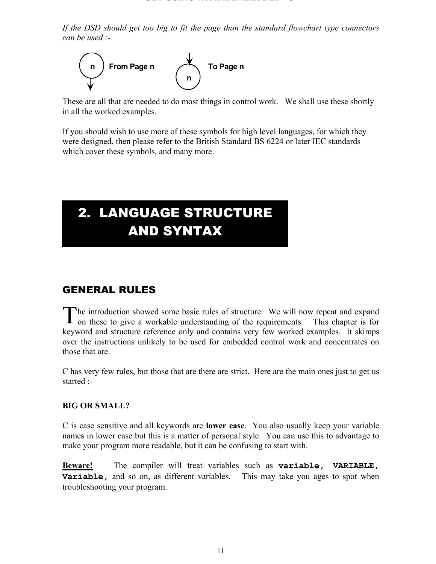*If the DSD should get too big to fit the page than the standard flowchart type connectors can be used :-*



These are all that are needed to do most things in control work. We shall use these shortly in all the worked examples.

If you should wish to use more of these symbols for high level languages, for which they were designed, then please refer to the British Standard BS 6224 or later IEC standards which cover these symbols, and many more.

## 2. LANGUAGE STRUCTURE AND SYNTAX

## GENERAL RULES

he introduction showed some basic rules of structure. We will now repeat and expand The introduction showed some basic rules of structure. We will now repeat and expand on these to give a workable understanding of the requirements. This chapter is for keyword and structure reference only and contains very few worked examples. It skimps over the instructions unlikely to be used for embedded control work and concentrates on those that are.

C has very few rules, but those that are there are strict. Here are the main ones just to get us started :-

#### **BIG OR SMALL?**

C is case sensitive and all keywords are **lower case**. You also usually keep your variable names in lower case but this is a matter of personal style. You can use this to advantage to make your program more readable, but it can be confusing to start with.

**Beware!** The compiler will treat variables such as **variable, VARIABLE, Variable,** and so on, as different variables. This may take you ages to spot when troubleshooting your program.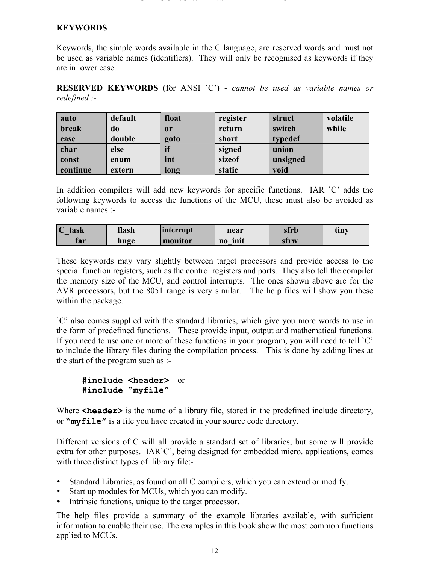#### **KEYWORDS**

Keywords, the simple words available in the C language, are reserved words and must not be used as variable names (identifiers). They will only be recognised as keywords if they are in lower case.

**RESERVED KEYWORDS** (for ANSI `C') - *cannot be used as variable names or redefined :-*

| auto     | default | float         | register | struct   | volatile |
|----------|---------|---------------|----------|----------|----------|
| break    | do      | <sub>or</sub> | return   | switch   | while    |
| case     | double  | goto          | short    | typedef  |          |
| char     | else    | if            | signed   | union    |          |
| const    | enum    | int           | sizeof   | unsigned |          |
| continue | extern  | long          | static   | void     |          |

In addition compilers will add new keywords for specific functions. IAR `C' adds the following keywords to access the functions of the MCU, these must also be avoided as variable names :-

| $\Gamma$<br>task<br>◟ | flash | linterrupt | near             | sfrb | tınv |
|-----------------------|-------|------------|------------------|------|------|
| far                   | huge  | monitor    | init<br>$\bf{n}$ | strw |      |

These keywords may vary slightly between target processors and provide access to the special function registers, such as the control registers and ports. They also tell the compiler the memory size of the MCU, and control interrupts. The ones shown above are for the AVR processors, but the 8051 range is very similar. The help files will show you these within the package.

`C' also comes supplied with the standard libraries, which give you more words to use in the form of predefined functions. These provide input, output and mathematical functions. If you need to use one or more of these functions in your program, you will need to tell `C' to include the library files during the compilation process. This is done by adding lines at the start of the program such as :-

```
#include <header> or 
#include "myfile"
```
Where **<header>** is the name of a library file, stored in the predefined include directory, or **"myfile"** is a file you have created in your source code directory.

Different versions of C will all provide a standard set of libraries, but some will provide extra for other purposes. IAR`C', being designed for embedded micro. applications, comes with three distinct types of library file:-

- Standard Libraries, as found on all C compilers, which you can extend or modify.
- Start up modules for MCUs, which you can modify.
- Intrinsic functions, unique to the target processor.

The help files provide a summary of the example libraries available, with sufficient information to enable their use. The examples in this book show the most common functions applied to MCUs.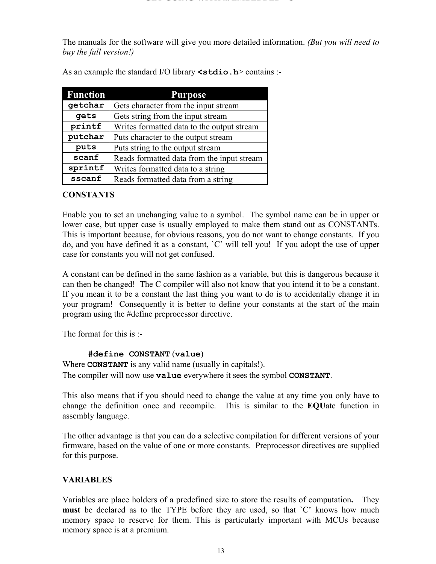The manuals for the software will give you more detailed information. *(But you will need to buy the full version!)*

| <b>Function</b> | <b>Purpose</b>                             |  |
|-----------------|--------------------------------------------|--|
| getchar         | Gets character from the input stream       |  |
| gets            | Gets string from the input stream          |  |
| printf          | Writes formatted data to the output stream |  |
| putchar         | Puts character to the output stream        |  |
| puts            | Puts string to the output stream           |  |
| scanf           | Reads formatted data from the input stream |  |
| sprintf         | Writes formatted data to a string          |  |
| sscanf          | Reads formatted data from a string         |  |

As an example the standard I/O library **<stdio.h**> contains :-

#### **CONSTANTS**

Enable you to set an unchanging value to a symbol. The symbol name can be in upper or lower case, but upper case is usually employed to make them stand out as CONSTANTs. This is important because, for obvious reasons, you do not want to change constants. If you do, and you have defined it as a constant, `C' will tell you! If you adopt the use of upper case for constants you will not get confused.

A constant can be defined in the same fashion as a variable, but this is dangerous because it can then be changed! The C compiler will also not know that you intend it to be a constant. If you mean it to be a constant the last thing you want to do is to accidentally change it in your program! Consequently it is better to define your constants at the start of the main program using the #define preprocessor directive.

The format for this is :-

#### **#define CONSTANT** (**value**)

Where **CONSTANT** is any valid name (usually in capitals!). The compiler will now use **value** everywhere it sees the symbol **CONSTANT**.

This also means that if you should need to change the value at any time you only have to change the definition once and recompile. This is similar to the **EQU**ate function in assembly language.

The other advantage is that you can do a selective compilation for different versions of your firmware, based on the value of one or more constants. Preprocessor directives are supplied for this purpose.

#### **VARIABLES**

Variables are place holders of a predefined size to store the results of computation**.** They **must** be declared as to the TYPE before they are used, so that `C' knows how much memory space to reserve for them. This is particularly important with MCUs because memory space is at a premium.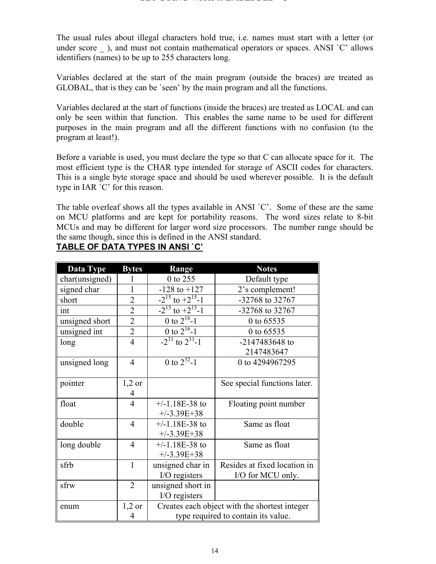The usual rules about illegal characters hold true, i.e. names must start with a letter (or under score ), and must not contain mathematical operators or spaces. ANSI `C' allows identifiers (names) to be up to 255 characters long.

Variables declared at the start of the main program (outside the braces) are treated as GLOBAL, that is they can be `seen' by the main program and all the functions.

Variables declared at the start of functions (inside the braces) are treated as LOCAL and can only be seen within that function. This enables the same name to be used for different purposes in the main program and all the different functions with no confusion (to the program at least!).

Before a variable is used, you must declare the type so that C can allocate space for it. The most efficient type is the CHAR type intended for storage of ASCII codes for characters. This is a single byte storage space and should be used wherever possible. It is the default type in IAR `C' for this reason.

The table overleaf shows all the types available in ANSI `C'. Some of these are the same on MCU platforms and are kept for portability reasons. The word sizes relate to 8-bit MCUs and may be different for larger word size processors. The number range should be the same though, since this is defined in the ANSI standard.

| Data Type      | <b>Bytes</b>   | <b>Notes</b><br>Range                         |                              |  |
|----------------|----------------|-----------------------------------------------|------------------------------|--|
| char(unsigned) |                | 0 to 255                                      | Default type                 |  |
| signed char    |                | $-128$ to $+127$                              | 2's complement!              |  |
| short          | $\overline{2}$ | $-2^{15}$ to $+2^{15}-1$                      | -32768 to 32767              |  |
| int            | $\overline{2}$ | $-2^{15}$ to $+2^{15}$ -1                     | -32768 to 32767              |  |
| unsigned short | $\overline{2}$ | 0 to $2^{16}$ -1                              | 0 to 65535                   |  |
| unsigned int   | $\overline{2}$ | 0 to $2^{16}$ -1                              | 0 to 65535                   |  |
| long           | $\overline{4}$ | $-2^{31}$ to $2^{31}$ -1                      | -2147483648 to               |  |
|                |                |                                               | 2147483647                   |  |
| unsigned long  | $\overline{4}$ | 0 to $2^{32}$ -1                              | 0 to 4294967295              |  |
|                |                |                                               |                              |  |
| pointer        | $1,2$ or       |                                               | See special functions later. |  |
|                | 4              |                                               |                              |  |
| float          | $\overline{4}$ | $+/-1.18E-38$ to                              | Floating point number        |  |
|                |                | $+/-3.39E+38$                                 |                              |  |
| double         | $\overline{4}$ | $+/-1.18E-38$ to                              | Same as float                |  |
|                |                | $+/-3.39E+38$                                 |                              |  |
| long double    | $\overline{4}$ | $+/-1.18E-38$ to                              | Same as float                |  |
|                |                | $+/-3.39E+38$                                 |                              |  |
| sfrb           | $\mathbf{1}$   | unsigned char in                              | Resides at fixed location in |  |
|                |                | I/O registers                                 | I/O for MCU only.            |  |
| sfrw           | $\overline{2}$ | unsigned short in                             |                              |  |
|                |                | I/O registers                                 |                              |  |
| enum           | $1,2$ or       | Creates each object with the shortest integer |                              |  |
|                | 4              | type required to contain its value.           |                              |  |

## **TABLE OF DATA TYPES IN ANSI `C'**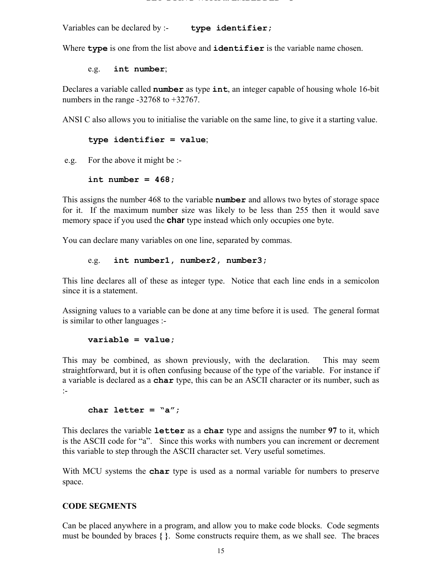Variables can be declared by :- **type identifier;**

Where **type** is one from the list above and **identifier** is the variable name chosen.

e.g. **int number**;

Declares a variable called **number** as type **int**, an integer capable of housing whole 16-bit numbers in the range -32768 to +32767.

ANSI C also allows you to initialise the variable on the same line, to give it a starting value.

#### **type identifier = value**;

e.g. For the above it might be :-

#### **int number = 468;**

This assigns the number 468 to the variable **number** and allows two bytes of storage space for it. If the maximum number size was likely to be less than 255 then it would save memory space if you used the **char** type instead which only occupies one byte.

You can declare many variables on one line, separated by commas.

#### e.g. **int number1, number2, number3;**

This line declares all of these as integer type. Notice that each line ends in a semicolon since it is a statement.

Assigning values to a variable can be done at any time before it is used. The general format is similar to other languages :-

#### **variable = value;**

This may be combined, as shown previously, with the declaration. This may seem straightforward, but it is often confusing because of the type of the variable. For instance if a variable is declared as a **char** type, this can be an ASCII character or its number, such as :-

#### **char letter = "a";**

This declares the variable **letter** as a **char** type and assigns the number **97** to it, which is the ASCII code for "a". Since this works with numbers you can increment or decrement this variable to step through the ASCII character set. Very useful sometimes.

With MCU systems the **char** type is used as a normal variable for numbers to preserve space.

#### **CODE SEGMENTS**

Can be placed anywhere in a program, and allow you to make code blocks. Code segments must be bounded by braces **{ }**. Some constructs require them, as we shall see. The braces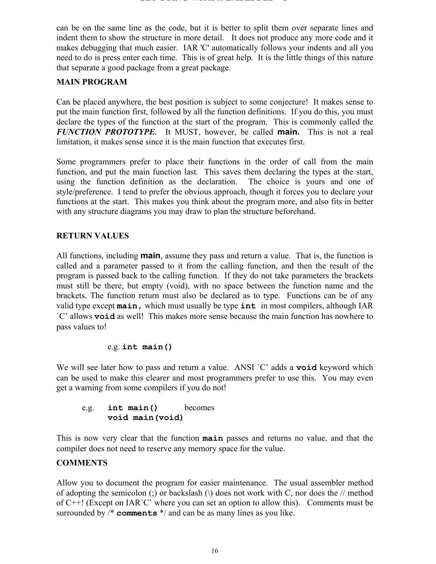can be on the same line as the code, but it is better to split them over separate lines and indent them to show the structure in more detail. It does not produce any more code and it makes debugging that much easier. IAR 'C' automatically follows your indents and all you need to do is press enter each time. This is of great help. It is the little things of this nature that separate a good package from a great package.

#### **MAIN PROGRAM**

Can be placed anywhere, the best position is subject to some conjecture! It makes sense to put the main function first, followed by all the function definitions. If you do this, you must declare the types of the function at the start of the program. This is commonly called the *FUNCTION PROTOTYPE*. It MUST, however, be called **main.** This is not a real limitation, it makes sense since it is the main function that executes first.

Some programmers prefer to place their functions in the order of call from the main function, and put the main function last. This saves them declaring the types at the start, using the function definition as the declaration. The choice is yours and one of style/preference. I tend to prefer the obvious approach, though it forces you to declare your functions at the start. This makes you think about the program more, and also fits in better with any structure diagrams you may draw to plan the structure beforehand.

#### **RETURN VALUES**

All functions, including **main**, assume they pass and return a value. That is, the function is called and a parameter passed to it from the calling function, and then the result of the program is passed back to the calling function. If they do not take parameters the brackets must still be there, but empty (void), with no space between the function name and the brackets. The function return must also be declared as to type. Functions can be of any valid type except **main,** which must usually be type **int** in most compilers, although IAR `C' allows **void** as well! This makes more sense because the main function has nowhere to pass values to!

#### e.g. **int main()**

We will see later how to pass and return a value. ANSI `C' adds a **void** keyword which can be used to make this clearer and most programmers prefer to use this. You may even get a warning from some compilers if you do not!

#### e.g. **int main()** becomes **void main(void)**

This is now very clear that the function **main** passes and returns no value, and that the compiler does not need to reserve any memory space for the value.

#### **COMMENTS**

Allow you to document the program for easier maintenance. The usual assembler method of adopting the semicolon (;) or backslash ( $\lambda$ ) does not work with C, nor does the // method of C++! (Except on IAR`C' where you can set an option to allow this). Comments must be surrounded by /\* **comments** \*/ and can be as many lines as you like.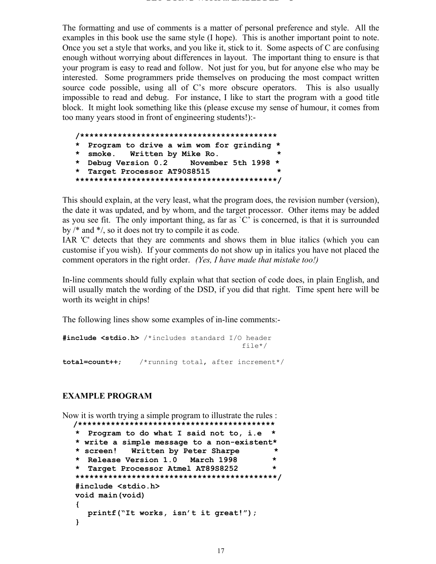The formatting and use of comments is a matter of personal preference and style. All the examples in this book use the same style (I hope). This is another important point to note. Once you set a style that works, and you like it, stick to it. Some aspects of C are confusing enough without worrying about differences in layout. The important thing to ensure is that your program is easy to read and follow. Not just for you, but for anyone else who may be interested. Some programmers pride themselves on producing the most compact written source code possible, using all of C's more obscure operators. This is also usually impossible to read and debug. For instance, I like to start the program with a good title block. It might look something like this (please excuse my sense of humour, it comes from too many years stood in front of engineering students!):-

|  | * Program to drive a wim wom for grinding * |  |
|--|---------------------------------------------|--|
|  | * smoke. Written by Mike Ro.                |  |
|  | * Debug Version 0.2 November 5th 1998 *     |  |
|  | * Target Processor AT90S8515                |  |
|  |                                             |  |

This should explain, at the very least, what the program does, the revision number (version), the date it was updated, and by whom, and the target processor. Other items may be added as you see fit. The only important thing, as far as  $\degree C$  is concerned, is that it is surrounded by /\* and \*/, so it does not try to compile it as code.

IAR 'C' detects that they are comments and shows them in blue italics (which you can customise if you wish). If your comments do not show up in italics you have not placed the comment operators in the right order. *(Yes, I have made that mistake too!)*

In-line comments should fully explain what that section of code does, in plain English, and will usually match the wording of the DSD, if you did that right. Time spent here will be worth its weight in chips!

The following lines show some examples of in-line comments:-

```
#include <stdio.h> /*includes standard I/O header
                                          file*/
total=count++; /*running total, after increment*/
```
#### **EXAMPLE PROGRAM**

Now it is worth trying a simple program to illustrate the rules : **/\*\*\*\*\*\*\*\*\*\*\*\*\*\*\*\*\*\*\*\*\*\*\*\*\*\*\*\*\*\*\*\*\*\*\*\*\*\*\*\*\*\***

```
* Program to do what I said not to, i.e *
* write a simple message to a non-existent*
* screen! Written by Peter Sharpe *
* Release Version 1.0 March 1998 *
* Target Processor Atmel AT89S8252 *
*******************************************/
#include <stdio.h>
void main(void)
{
  printf("It works, isn't it great!");
}
```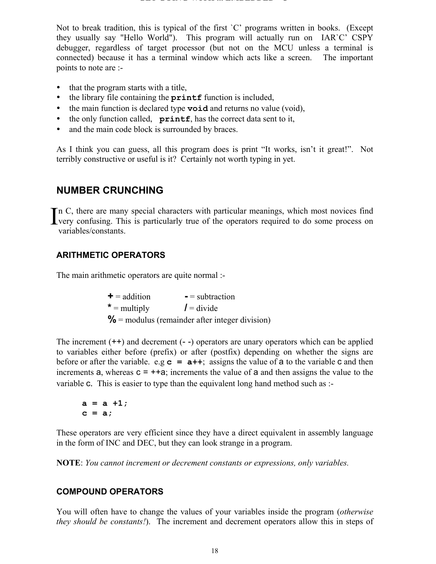Not to break tradition, this is typical of the first `C' programs written in books. (Except they usually say "Hello World"). This program will actually run on IAR`C' CSPY debugger, regardless of target processor (but not on the MCU unless a terminal is connected) because it has a terminal window which acts like a screen. The important points to note are :-

- that the program starts with a title,
- the library file containing the **printf** function is included,
- the main function is declared type **void** and returns no value (void),
- the only function called, **printf**, has the correct data sent to it,
- and the main code block is surrounded by braces.

As I think you can guess, all this program does is print "It works, isn't it great!". Not terribly constructive or useful is it? Certainly not worth typing in yet.

## **NUMBER CRUNCHING**

In C, there are many special characters with particular meanings, which most novices find In C, there are many special characters with particular meanings, which most novices find<br>very confusing. This is particularly true of the operators required to do some process on variables/constants.

#### **ARITHMETIC OPERATORS**

The main arithmetic operators are quite normal :-

| $\textbf{+}$ = addition | $=$ subtraction                                   |
|-------------------------|---------------------------------------------------|
| $* =$ multiply          | $l = \text{divide}$                               |
|                         | $\%$ = modulus (remainder after integer division) |

The increment (++) and decrement (- -) operators are unary operators which can be applied to variables either before (prefix) or after (postfix) depending on whether the signs are before or after the variable. e.g  $\mathbf{c} = \mathbf{a} + \mathbf{b}$ ; assigns the value of  $\mathbf{a}$  to the variable  $\mathbf{c}$  and then increments  $a$ , whereas  $c = +a$ ; increments the value of  $a$  and then assigns the value to the variable c. This is easier to type than the equivalent long hand method such as :-

**a = a +1; c = a;**

These operators are very efficient since they have a direct equivalent in assembly language in the form of INC and DEC, but they can look strange in a program.

**NOTE**: *You cannot increment or decrement constants or expressions, only variables.*

#### **COMPOUND OPERATORS**

You will often have to change the values of your variables inside the program (*otherwise they should be constants!*). The increment and decrement operators allow this in steps of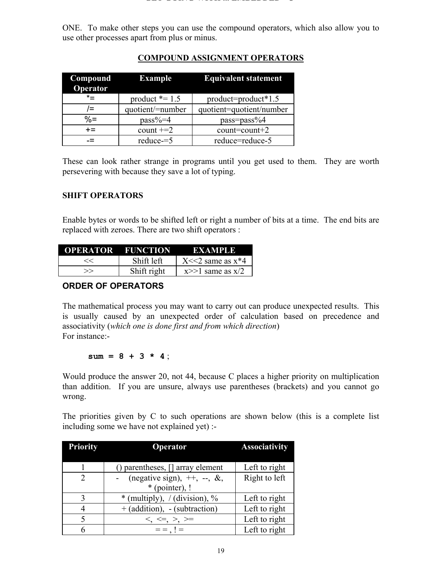ONE. To make other steps you can use the compound operators, which also allow you to use other processes apart from plus or minus.

| Compound<br>Operator | Example           | <b>Equivalent statement</b> |
|----------------------|-------------------|-----------------------------|
| $\star$              | product $* = 1.5$ | product=product*1.5         |
| $l =$                | quotient/=number  | quotient=quotient/number    |
| $\% =$               | $pass\% = 4$      | $pass = pass\%4$            |
| $+=$                 | count $+=2$       | $count=count+2$             |
|                      | $reduce = 5$      | reduce=reduce-5             |

### **COMPOUND ASSIGNMENT OPERATORS**

These can look rather strange in programs until you get used to them. They are worth persevering with because they save a lot of typing.

#### **SHIFT OPERATORS**

Enable bytes or words to be shifted left or right a number of bits at a time. The end bits are replaced with zeroes. There are two shift operators :

| <b>OPERATOR FUNCTION</b> |             | EXAMPLE                   |
|--------------------------|-------------|---------------------------|
| <<                       | Shift left  | $X \leq 2$ same as $x^*4$ |
| >>                       | Shift right | $x>>1$ same as $x/2$      |

#### **ORDER OF OPERATORS**

The mathematical process you may want to carry out can produce unexpected results. This is usually caused by an unexpected order of calculation based on precedence and associativity (*which one is done first and from which direction*) For instance:-

 $sum = 8 + 3 * 4$ ;

Would produce the answer 20, not 44, because C places a higher priority on multiplication than addition. If you are unsure, always use parentheses (brackets) and you cannot go wrong.

The priorities given by C to such operations are shown below (this is a complete list including some we have not explained yet) :-

| <b>Priority</b> | Operator                                                  | <b>Associativity</b> |
|-----------------|-----------------------------------------------------------|----------------------|
|                 |                                                           |                      |
|                 | parentheses, [] array element                             | Left to right        |
| 2               | (negative sign), $++$ , $-$ , $\&$ ,                      | Right to left        |
|                 | $*$ (pointer), !                                          |                      |
| 3               | * (multiply), $\frac{\partial}{\partial y}$ (division), % | Left to right        |
|                 | $+$ (addition), - (subtraction)                           | Left to right        |
| $\varsigma$     | $\lt$ , $\lt =, >, >=$                                    | Left to right        |
|                 | $=$ = $\, \cdot \,$ ! =                                   | Left to right        |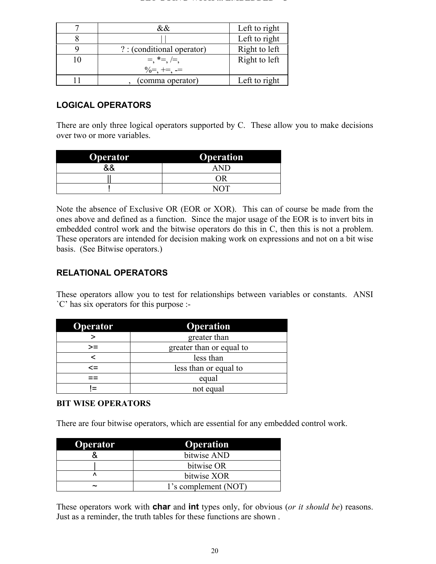#### **GET GOING WITH ... EMBEDDED C**

| $\&\&$                     | Left to right |
|----------------------------|---------------|
|                            | Left to right |
| ? : (conditional operator) | Right to left |
| $=$ , $* =$ , $=$ ,        | Right to left |
| $\% = + = -$               |               |
| (comma operator)           | Left to right |

#### **LOGICAL OPERATORS**

There are only three logical operators supported by C. These allow you to make decisions over two or more variables.

| <b>Operator</b> | <b>Operation</b> |
|-----------------|------------------|
| ጿ&              |                  |
|                 | ΩR               |
|                 |                  |

Note the absence of Exclusive OR (EOR or XOR). This can of course be made from the ones above and defined as a function. Since the major usage of the EOR is to invert bits in embedded control work and the bitwise operators do this in C, then this is not a problem. These operators are intended for decision making work on expressions and not on a bit wise basis. (See Bitwise operators.)

#### **RELATIONAL OPERATORS**

These operators allow you to test for relationships between variables or constants. ANSI `C' has six operators for this purpose :-

| Operator | <b>Operation</b>         |  |  |
|----------|--------------------------|--|--|
|          | greater than             |  |  |
| >=       | greater than or equal to |  |  |
| ╭        | less than                |  |  |
| $\leq$   | less than or equal to    |  |  |
|          | equal                    |  |  |
|          | not equal                |  |  |

#### **BIT WISE OPERATORS**

There are four bitwise operators, which are essential for any embedded control work.

| <b>Operator</b>       | <b>Operation</b>     |
|-----------------------|----------------------|
|                       | bitwise AND          |
|                       | bitwise OR           |
|                       | bitwise XOR          |
| $\tilde{\phantom{a}}$ | 1's complement (NOT) |

These operators work with **char** and **int** types only, for obvious (*or it should be*) reasons. Just as a reminder, the truth tables for these functions are shown .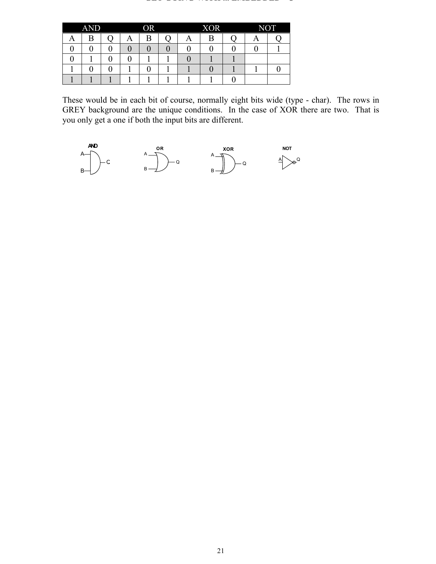#### **GET GOING WITH ... EMBEDDED C**

|   | <b>AND</b> |   | <b>OR</b> |   | <b>XOR</b> |   | <b>NOT</b> |
|---|------------|---|-----------|---|------------|---|------------|
| А | B          | A | B         | A | Β          | A |            |
|   |            |   |           |   |            |   |            |
|   |            |   |           |   |            |   |            |
|   |            |   |           |   |            |   |            |
|   |            |   |           |   |            |   |            |

These would be in each bit of course, normally eight bits wide (type - char). The rows in GREY background are the unique conditions. In the case of XOR there are two. That is you only get a one if both the input bits are different.

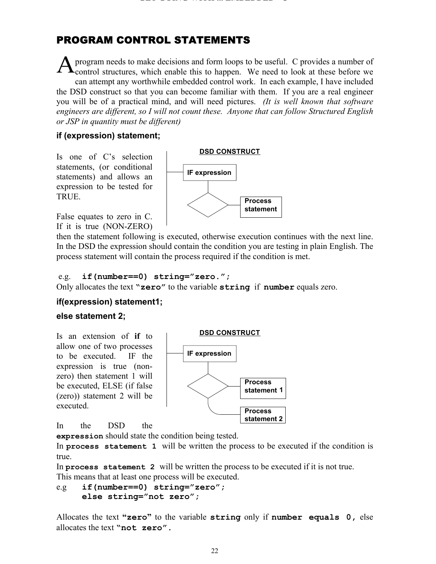## PROGRAM CONTROL STATEMENTS

program needs to make decisions and form loops to be useful. C provides a number of control structures, which enable this to happen. We need to look at these before we can attempt any worthwhile embedded control work. In each example, I have included the DSD construct so that you can become familiar with them. If you are a real engineer you will be of a practical mind, and will need pictures. *(It is well known that software engineers are different, so I will not count these. Anyone that can follow Structured English or JSP in quantity must be different)* A

#### **if (expression) statement;**

Is one of C's selection statements, (or conditional statements) and allows an expression to be tested for TRUE.



False equates to zero in C. If it is true (NON-ZERO)

then the statement following is executed, otherwise execution continues with the next line. In the DSD the expression should contain the condition you are testing in plain English. The process statement will contain the process required if the condition is met.

#### e.g. **if(number==0) string="zero.";**

Only allocates the text **"zero"** to the variable **string** if **number** equals zero.

#### **if(expression) statement1;**

#### **else statement 2;**

Is an extension of **if** to allow one of two processes to be executed. IF the expression is true (nonzero) then statement 1 will be executed, ELSE (if false (zero)) statement 2 will be executed.



In the DSD the

**expression** should state the condition being tested.

In **process statement 1** will be written the process to be executed if the condition is true.

In **process statement 2** will be written the process to be executed if it is not true. This means that at least one process will be executed.

```
e.g if(number==0) string="zero";
     else string="not zero";
```
Allocates the text **"zero"** to the variable **string** only if **number equals 0,** else allocates the text **"not zero".**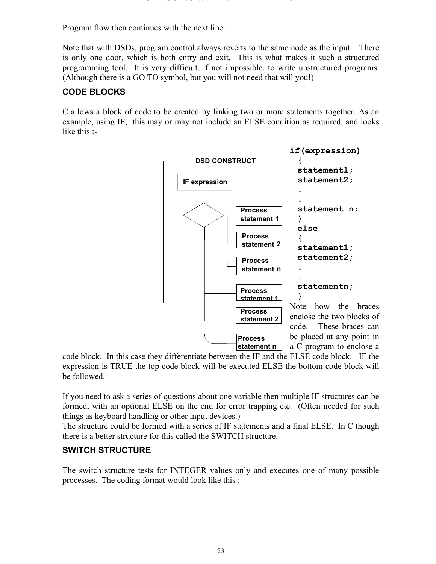Program flow then continues with the next line.

Note that with DSDs, program control always reverts to the same node as the input. There is only one door, which is both entry and exit. This is what makes it such a structured programming tool. It is very difficult, if not impossible, to write unstructured programs. (Although there is a GO TO symbol, but you will not need that will you!)

#### **CODE BLOCKS**

C allows a block of code to be created by linking two or more statements together. As an example, using IF,this may or may not include an ELSE condition as required, and looks like this :-



code block. In this case they differentiate between the IF and the ELSE code block. IF the expression is TRUE the top code block will be executed ELSE the bottom code block will be followed.

If you need to ask a series of questions about one variable then multiple IF structures can be formed, with an optional ELSE on the end for error trapping etc. (Often needed for such things as keyboard handling or other input devices.)

The structure could be formed with a series of IF statements and a final ELSE. In C though there is a better structure for this called the SWITCH structure.

#### **SWITCH STRUCTURE**

The switch structure tests for INTEGER values only and executes one of many possible processes. The coding format would look like this :-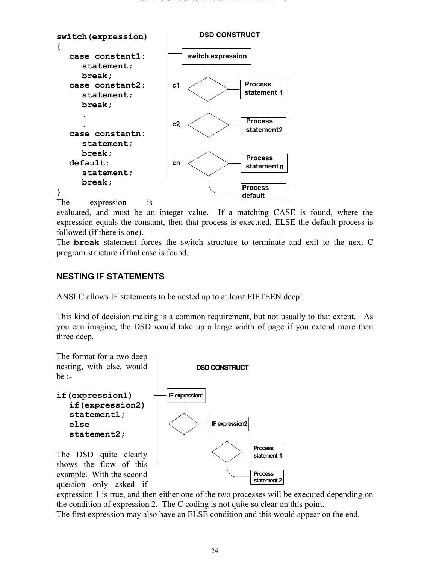

evaluated, and must be an integer value. If a matching CASE is found, where the expression equals the constant, then that process is executed, ELSE the default process is followed (if there is one).

The **break** statement forces the switch structure to terminate and exit to the next C program structure if that case is found.

#### **NESTING IF STATEMENTS**

ANSI C allows IF statements to be nested up to at least FIFTEEN deep!

This kind of decision making is a common requirement, but not usually to that extent. As you can imagine, the DSD would take up a large width of page if you extend more than three deep.



expression 1 is true, and then either one of the two processes will be executed depending on the condition of expression 2. The C coding is not quite so clear on this point.

The first expression may also have an ELSE condition and this would appear on the end.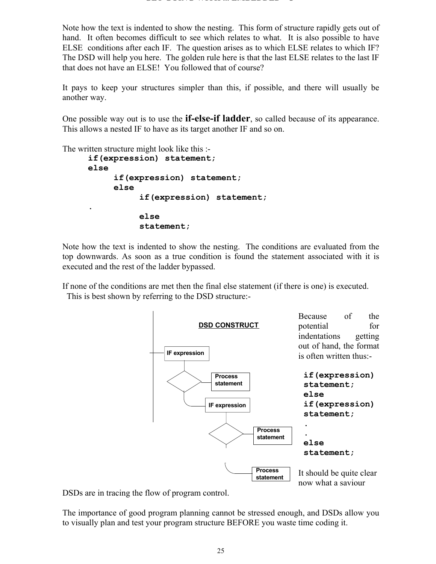Note how the text is indented to show the nesting. This form of structure rapidly gets out of hand. It often becomes difficult to see which relates to what. It is also possible to have ELSE conditions after each IF. The question arises as to which ELSE relates to which IF? The DSD will help you here. The golden rule here is that the last ELSE relates to the last IF that does not have an ELSE! You followed that of course?

It pays to keep your structures simpler than this, if possible, and there will usually be another way.

One possible way out is to use the **if-else-if ladder**, so called because of its appearance. This allows a nested IF to have as its target another IF and so on.

The written structure might look like this :-

```
if(expression) statement;
else
     if(expression) statement;
     else
          if(expression) statement;
.
          else
          statement;
```
Note how the text is indented to show the nesting. The conditions are evaluated from the top downwards. As soon as a true condition is found the statement associated with it is executed and the rest of the ladder bypassed.

If none of the conditions are met then the final else statement (if there is one) is executed. This is best shown by referring to the DSD structure:-



DSDs are in tracing the flow of program control.

The importance of good program planning cannot be stressed enough, and DSDs allow you to visually plan and test your program structure BEFORE you waste time coding it.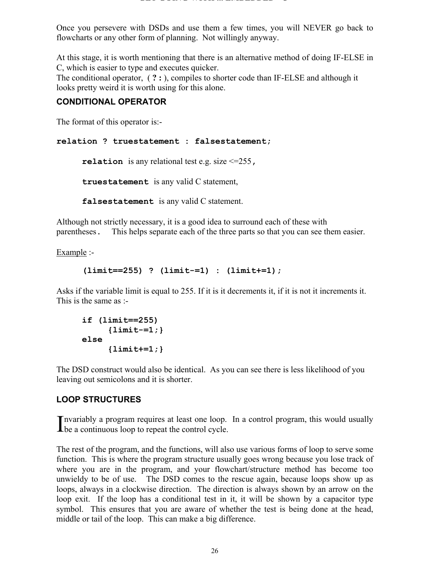Once you persevere with DSDs and use them a few times, you will NEVER go back to flowcharts or any other form of planning. Not willingly anyway.

At this stage, it is worth mentioning that there is an alternative method of doing IF-ELSE in C, which is easier to type and executes quicker.

The conditional operator, ( **? :** ), compiles to shorter code than IF-ELSE and although it looks pretty weird it is worth using for this alone.

#### **CONDITIONAL OPERATOR**

The format of this operator is:-

```
relation ? truestatement : falsestatement;
```
**relation** is any relational test e.g. size <=255**,**

**truestatement** is any valid C statement,

**falsestatement** is any valid C statement.

Although not strictly necessary, it is a good idea to surround each of these with parentheses. This helps separate each of the three parts so that you can see them easier.

Example :-

```
(limit==255) ? (limit-=1) : (limit+=1);
```
Asks if the variable limit is equal to 255. If it is it decrements it, if it is not it increments it. This is the same as :-

```
if (limit==255)
     {limit-=1;}
else
     {limit+=1;}
```
The DSD construct would also be identical. As you can see there is less likelihood of you leaving out semicolons and it is shorter.

#### **LOOP STRUCTURES**

nvariably a program requires at least one loop. In a control program, this would usually Invariably a program requires at least one loop.<br>
be a continuous loop to repeat the control cycle.

The rest of the program, and the functions, will also use various forms of loop to serve some function. This is where the program structure usually goes wrong because you lose track of where you are in the program, and your flowchart/structure method has become too unwieldy to be of use. The DSD comes to the rescue again, because loops show up as loops, always in a clockwise direction. The direction is always shown by an arrow on the loop exit. If the loop has a conditional test in it, it will be shown by a capacitor type symbol. This ensures that you are aware of whether the test is being done at the head, middle or tail of the loop. This can make a big difference.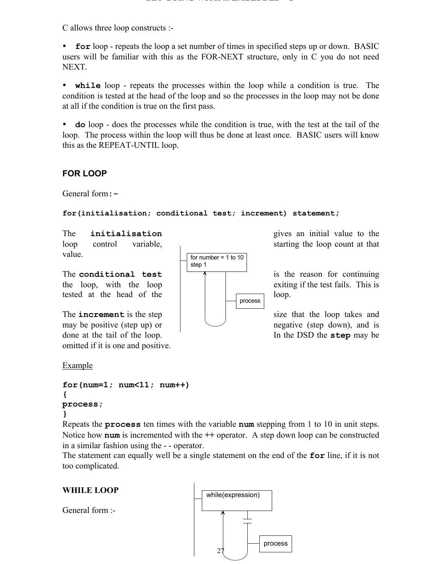C allows three loop constructs :-

**for** loop - repeats the loop a set number of times in specified steps up or down. BASIC users will be familiar with this as the FOR-NEXT structure, only in C you do not need NEXT.

• while loop - repeats the processes within the loop while a condition is true. The condition is tested at the head of the loop and so the processes in the loop may not be done at all if the condition is true on the first pass.

y **do** loop - does the processes while the condition is true, with the test at the tail of the loop. The process within the loop will thus be done at least once. BASIC users will know this as the REPEAT-UNTIL loop.

#### **FOR LOOP**

General form**:-**

**for(initialisation; conditional test; increment) statement;**

value.

tested at the head of the loop.

The **increment** is the step  $\vert$   $\vert$  is the size that the loop takes and may be positive (step up) or  $\Box$ done at the tail of the loop. In the DSD the **step** may be omitted if it is one and positive.

Example

```
for(num=1; num<11; num++)
{
process;
}
```
Repeats the **process** ten times with the variable **num** stepping from 1 to 10 in unit steps. Notice how **num** is incremented with the **++** operator. A step down loop can be constructed in a similar fashion using the - - operator.

The statement can equally well be a single statement on the end of the **for** line, if it is not too complicated.

## **WHILE LOOP**

General form :-



The **initialisation** gives an initial value to the loop control variable, starting the loop count at that

The **conditional test**  $\begin{array}{|c|c|c|c|c|} \hline \cdots & \cdots & \cdots & \cdots \hline \end{array}$  is the reason for continuing the loop, with the loop  $\parallel$   $\parallel$  exiting if the test fails. This is

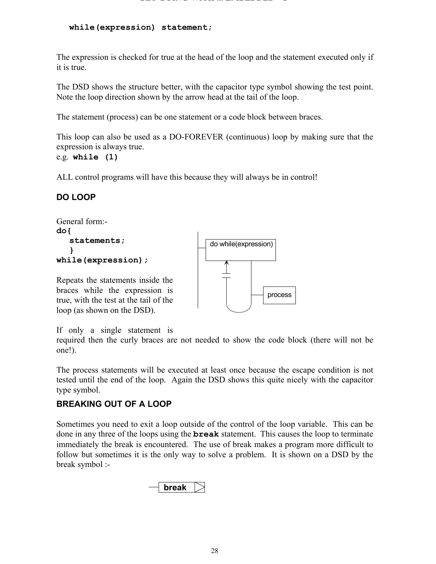**while(expression) statement;**

The expression is checked for true at the head of the loop and the statement executed only if it is true.

The DSD shows the structure better, with the capacitor type symbol showing the test point. Note the loop direction shown by the arrow head at the tail of the loop.

The statement (process) can be one statement or a code block between braces.

This loop can also be used as a DO-FOREVER (continuous) loop by making sure that the expression is always true. e.g. **while (1)**

ALL control programs will have this because they will always be in control!

#### **DO LOOP**

```
General form:-
do{
   statements;
   }
while(expression);
Repeats the statements inside the
braces while the expression is
true, with the test at the tail of the
loop (as shown on the DSD).
                                                          process
                                          do while(expression)
```
If only a single statement is

required then the curly braces are not needed to show the code block (there will not be one!).

The process statements will be executed at least once because the escape condition is not tested until the end of the loop. Again the DSD shows this quite nicely with the capacitor type symbol.

#### **BREAKING OUT OF A LOOP**

Sometimes you need to exit a loop outside of the control of the loop variable. This can be done in any three of the loops using the **break** statement. This causes the loop to terminate immediately the break is encountered. The use of break makes a program more difficult to follow but sometimes it is the only way to solve a problem. It is shown on a DSD by the break symbol :-

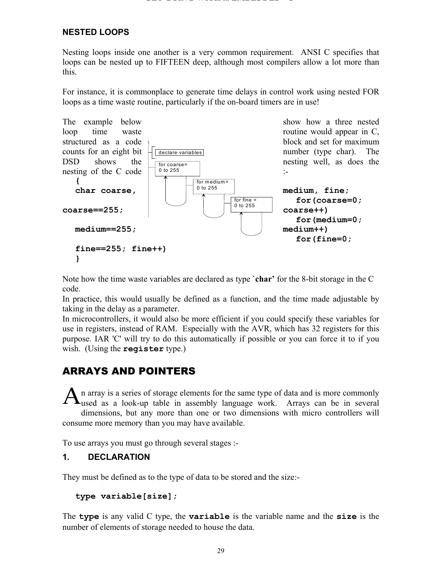#### **NESTED LOOPS**

Nesting loops inside one another is a very common requirement. ANSI C specifies that loops can be nested up to FIFTEEN deep, although most compilers allow a lot more than this.

For instance, it is commonplace to generate time delays in control work using nested FOR loops as a time waste routine, particularly if the on-board timers are in use!



Note how the time waste variables are declared as type **`char'** for the 8-bit storage in the C code.

In practice, this would usually be defined as a function, and the time made adjustable by taking in the delay as a parameter.

In microcontrollers, it would also be more efficient if you could specify these variables for use in registers, instead of RAM. Especially with the AVR, which has 32 registers for this purpose. IAR 'C' will try to do this automatically if possible or you can force it to if you wish. (Using the **register** type.)

## ARRAYS AND POINTERS

n array is a series of storage elements for the same type of data and is more commonly  $A$ <sup>n</sup> array is a series of storage elements for the same type of data and is more commonly used as a look-up table in assembly language work. Arrays can be in several dimensions, but any more than one or two dimensions with micro controllers will consume more memory than you may have available.

To use arrays you must go through several stages :-

#### **1. DECLARATION**

They must be defined as to the type of data to be stored and the size:-

```
type variable[size];
```
The **type** is any valid C type, the **variable** is the variable name and the **size** is the number of elements of storage needed to house the data.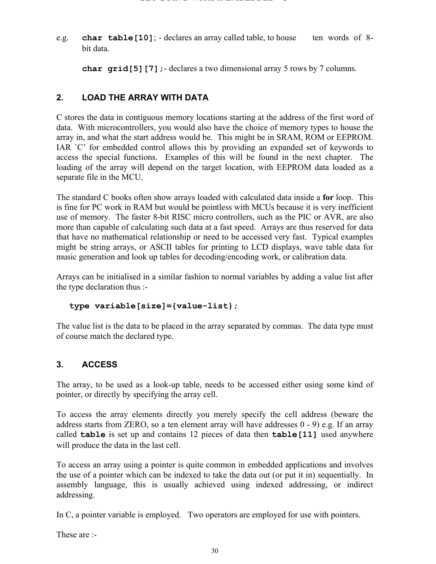e.g. **char table[10]**; - declares an array called table, to house ten words of 8 bit data.

**char grid[5][7];**- declares a two dimensional array 5 rows by 7 columns.

#### **2. LOAD THE ARRAY WITH DATA**

C stores the data in contiguous memory locations starting at the address of the first word of data. With microcontrollers, you would also have the choice of memory types to house the array in, and what the start address would be. This might be in SRAM, ROM or EEPROM. IAR `C' for embedded control allows this by providing an expanded set of keywords to access the special functions. Examples of this will be found in the next chapter. The loading of the array will depend on the target location, with EEPROM data loaded as a separate file in the MCU.

The standard C books often show arrays loaded with calculated data inside a **for** loop. This is fine for PC work in RAM but would be pointless with MCUs because it is very inefficient use of memory. The faster 8-bit RISC micro controllers, such as the PIC or AVR, are also more than capable of calculating such data at a fast speed. Arrays are thus reserved for data that have no mathematical relationship or need to be accessed very fast. Typical examples might be string arrays, or ASCII tables for printing to LCD displays, wave table data for music generation and look up tables for decoding/encoding work, or calibration data.

Arrays can be initialised in a similar fashion to normal variables by adding a value list after the type declaration thus :-

```
type variable[size]={value-list};
```
The value list is the data to be placed in the array separated by commas. The data type must of course match the declared type.

#### **3. ACCESS**

The array, to be used as a look-up table, needs to be accessed either using some kind of pointer, or directly by specifying the array cell.

To access the array elements directly you merely specify the cell address (beware the address starts from ZERO, so a ten element array will have addresses 0 - 9) e.g. If an array called **table** is set up and contains 12 pieces of data then **table[11]** used anywhere will produce the data in the last cell.

To access an array using a pointer is quite common in embedded applications and involves the use of a pointer which can be indexed to take the data out (or put it in) sequentially. In assembly language, this is usually achieved using indexed addressing, or indirect addressing.

In C, a pointer variable is employed. Two operators are employed for use with pointers.

These are :-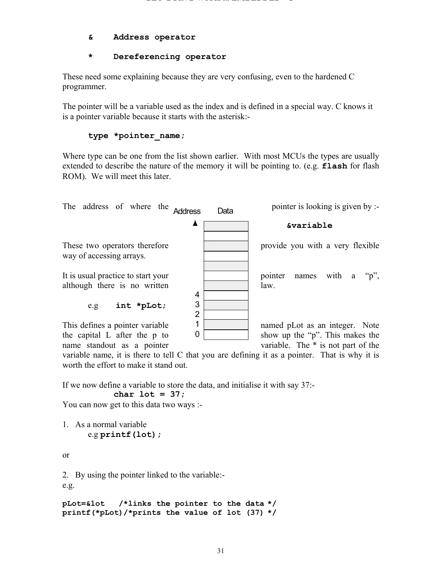#### **& Address operator**

#### **\* Dereferencing operator**

These need some explaining because they are very confusing, even to the hardened C programmer.

The pointer will be a variable used as the index and is defined in a special way. C knows it is a pointer variable because it starts with the asterisk:-

#### **type \*pointer\_name;**

Where type can be one from the list shown earlier. With most MCUs the types are usually extended to describe the nature of the memory it will be pointing to. (e.g. **flash** for flash ROM). We will meet this later.



the capital L after the p to show up the "p". This makes the

name standout as a pointer variable. The \* is not part of the variable name, it is there to tell C that you are defining it as a pointer. That is why it is worth the effort to make it stand out.

If we now define a variable to store the data, and initialise it with say 37:-

 $\Omega$ 

**char lot = 37;**

You can now get to this data two ways :-

1. As a normal variable

e.g **printf(lot);**

or

2. By using the pointer linked to the variable:-

e.g.

```
pLot=&lot /*links the pointer to the data */
printf(*pLot)/*prints the value of lot (37) */
```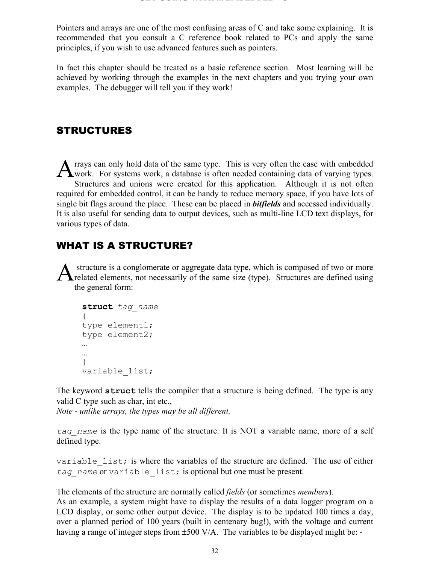Pointers and arrays are one of the most confusing areas of C and take some explaining. It is recommended that you consult a C reference book related to PCs and apply the same principles, if you wish to use advanced features such as pointers.

In fact this chapter should be treated as a basic reference section. Most learning will be achieved by working through the examples in the next chapters and you trying your own examples. The debugger will tell you if they work!

### **STRUCTURES**

rrays can only hold data of the same type. This is very often the case with embedded A rrays can only hold data of the same type. This is very often the case with embedded work. For systems work, a database is often needed containing data of varying types. Structures and unions were created for this application. Although it is not often required for embedded control, it can be handy to reduce memory space, if you have lots of single bit flags around the place. These can be placed in *bitfields* and accessed individually. It is also useful for sending data to output devices, such as multi-line LCD text displays, for various types of data.

## WHAT IS A STRUCTURE?

 structure is a conglomerate or aggregate data type, which is composed of two or more A structure is a conglomerate or aggregate data type, which is composed of two or more<br>
related elements, not necessarily of the same size (type). Structures are defined using the general form:

```
struct tag_name
{
type element1;
type element2;
…
…
}
variable_list;
```
The keyword **struct** tells the compiler that a structure is being defined. The type is any valid C type such as char, int etc.,

*Note - unlike arrays, the types may be all different.*

*tag\_name* is the type name of the structure. It is NOT a variable name, more of a self defined type.

variable list; is where the variables of the structure are defined. The use of either *tag\_name* or variable\_list; is optional but one must be present.

The elements of the structure are normally called *fields* (or sometimes *members*).

As an example, a system might have to display the results of a data logger program on a LCD display, or some other output device. The display is to be updated 100 times a day, over a planned period of 100 years (built in centenary bug!), with the voltage and current having a range of integer steps from  $\pm 500$  V/A. The variables to be displayed might be: -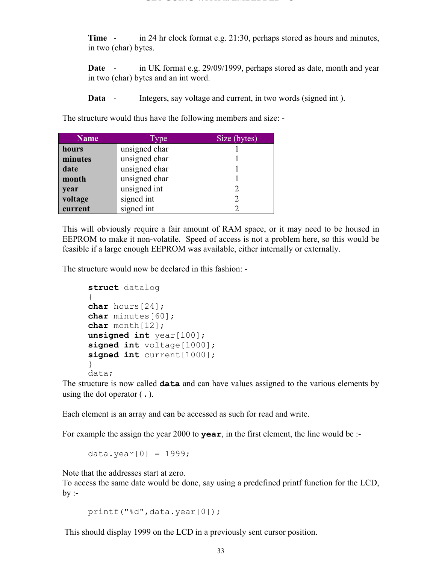**Time** - in 24 hr clock format e.g. 21:30, perhaps stored as hours and minutes, in two (char) bytes.

**Date** - in UK format e.g. 29/09/1999, perhaps stored as date, month and year in two (char) bytes and an int word.

**Data** - Integers, say voltage and current, in two words (signed int).

The structure would thus have the following members and size: -

| <b>Name</b> | <b>vpe</b>    | Size (bytes)  |
|-------------|---------------|---------------|
| hours       | unsigned char |               |
| minutes     | unsigned char |               |
| date        | unsigned char |               |
| month       | unsigned char |               |
| year        | unsigned int  |               |
| voltage     | signed int    | $\mathcal{D}$ |
| current     | signed int    |               |

This will obviously require a fair amount of RAM space, or it may need to be housed in EEPROM to make it non-volatile. Speed of access is not a problem here, so this would be feasible if a large enough EEPROM was available, either internally or externally.

The structure would now be declared in this fashion: -

```
struct datalog
{
char hours[24];
char minutes<sup>[60]</sup>;
char month[12];
unsigned int year [100];
signed int voltage[1000];
signed int current [1000];
}
data;
```
The structure is now called **data** and can have values assigned to the various elements by using the dot operator ( **.** ).

Each element is an array and can be accessed as such for read and write.

For example the assign the year 2000 to **year**, in the first element, the line would be :-

data.year $[0] = 1999$ ;

Note that the addresses start at zero.

To access the same date would be done, say using a predefined printf function for the LCD,  $by -$ 

printf("%d",data.year[0]);

This should display 1999 on the LCD in a previously sent cursor position.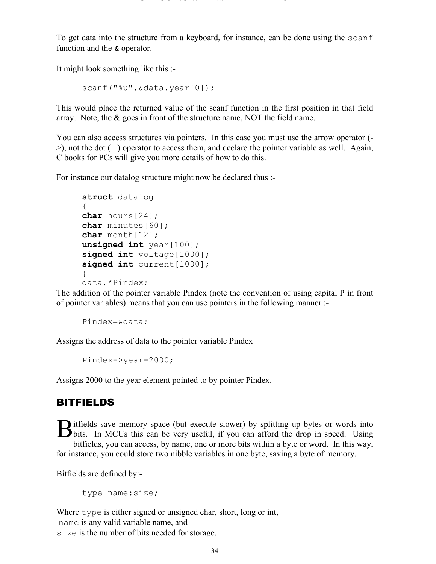To get data into the structure from a keyboard, for instance, can be done using the scanf function and the **&** operator.

It might look something like this :-

scanf("%u", &data.year[0]);

This would place the returned value of the scanf function in the first position in that field array. Note, the & goes in front of the structure name, NOT the field name.

You can also access structures via pointers. In this case you must use the arrow operator (- >), not the dot ( . ) operator to access them, and declare the pointer variable as well. Again, C books for PCs will give you more details of how to do this.

For instance our datalog structure might now be declared thus :-

```
struct datalog
{
char hours[24];
char minutes[60];
char month[12];
unsigned int year<sup>[100];</sup>
signed int voltage[1000];
signed int current [1000];
}
data,*Pindex;
```
The addition of the pointer variable Pindex (note the convention of using capital P in front of pointer variables) means that you can use pointers in the following manner :-

Pindex=&data;

Assigns the address of data to the pointer variable Pindex

Pindex->year=2000;

Assigns 2000 to the year element pointed to by pointer Pindex.

#### BITFIELDS

itfields save memory space (but execute slower) by splitting up bytes or words into Bitfields save memory space (but execute slower) by splitting up bytes or words into bits. In MCUs this can be very useful, if you can afford the drop in speed. Using bitfields, you can access, by name, one or more bits within a byte or word. In this way, for instance, you could store two nibble variables in one byte, saving a byte of memory.

Bitfields are defined by:-

type name:size;

Where type is either signed or unsigned char, short, long or int, name is any valid variable name, and size is the number of bits needed for storage.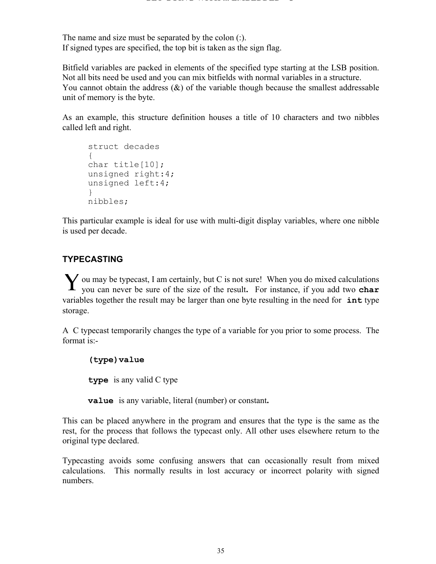The name and size must be separated by the colon (:). If signed types are specified, the top bit is taken as the sign flag.

Bitfield variables are packed in elements of the specified type starting at the LSB position. Not all bits need be used and you can mix bitfields with normal variables in a structure. You cannot obtain the address  $(x)$  of the variable though because the smallest addressable unit of memory is the byte.

As an example, this structure definition houses a title of 10 characters and two nibbles called left and right.

```
struct decades
{
char title[10];
unsigned right:4;
unsigned left:4;
}
nibbles;
```
This particular example is ideal for use with multi-digit display variables, where one nibble is used per decade.

#### **TYPECASTING**

ou may be typecast, I am certainly, but C is not sure! When you do mixed calculations Y ou may be typecast, I am certainly, but C is not sure! When you do mixed calculations you can never be sure of the size of the result. For instance, if you add two **char** variables together the result may be larger than one byte resulting in the need for **int** type storage.

A C typecast temporarily changes the type of a variable for you prior to some process. The format is:-

#### **(type)value**

**type** is any valid C type

**value** is any variable, literal (number) or constant**.**

This can be placed anywhere in the program and ensures that the type is the same as the rest, for the process that follows the typecast only. All other uses elsewhere return to the original type declared.

Typecasting avoids some confusing answers that can occasionally result from mixed calculations. This normally results in lost accuracy or incorrect polarity with signed numbers.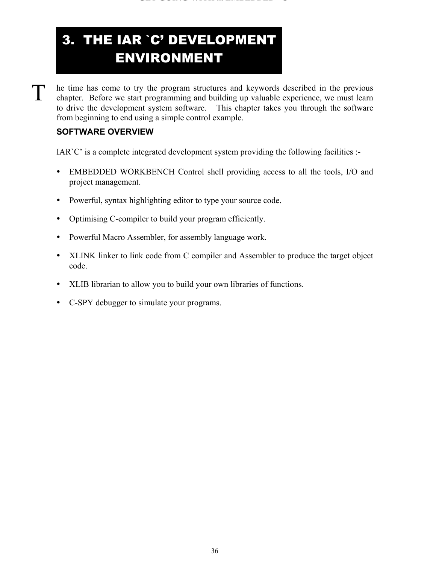# 3. THE IAR `C' DEVELOPMENT ENVIRONMENT

he time has come to try the program structures and keywords described in the previous chapter. Before we start programming and building up valuable experience, we must learn to drive the development system software. This chapter takes you through the software from beginning to end using a simple control example.

#### **SOFTWARE OVERVIEW**

T

IAR`C' is a complete integrated development system providing the following facilities :-

- EMBEDDED WORKBENCH Control shell providing access to all the tools, I/O and project management.
- Powerful, syntax highlighting editor to type your source code.
- Optimising C-compiler to build your program efficiently.
- Powerful Macro Assembler, for assembly language work.
- XLINK linker to link code from C compiler and Assembler to produce the target object code.
- XLIB librarian to allow you to build your own libraries of functions.
- C-SPY debugger to simulate your programs.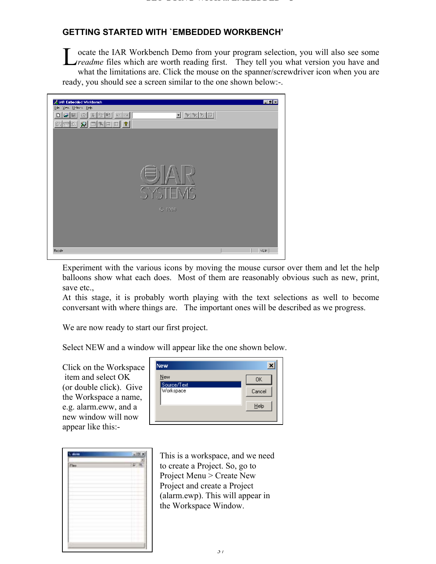## **GETTING STARTED WITH `EMBEDDED WORKBENCH'**

ocate the IAR Workbench Demo from your program selection, you will also see some **L** ocate the IAR Workbench Demo from your program selection, you will also see some *readme* files which are worth reading first. They tell you what version you have and what the limitations are. Click the mouse on the spanner/screwdriver icon when you are ready, you should see a screen similar to the one shown below:-.

| IAR Embedded Workbanch | <b>TER</b>                                                                                    |
|------------------------|-----------------------------------------------------------------------------------------------|
| Lie Vew Uthors Heb-    |                                                                                               |
| 미디테 최정형이어              | $\boxed{\mathbb{E}\left[\mathbb{F}\right]\mathbb{F}\left[\mathbb{F}\right]\mathbb{E}\right]}$ |
|                        |                                                                                               |
|                        |                                                                                               |
|                        |                                                                                               |
|                        |                                                                                               |
|                        |                                                                                               |
|                        |                                                                                               |
|                        |                                                                                               |
|                        |                                                                                               |
|                        |                                                                                               |
|                        | <b>SYSTEMS</b>                                                                                |
|                        |                                                                                               |
|                        |                                                                                               |
|                        | @ 1996                                                                                        |
|                        |                                                                                               |
|                        |                                                                                               |
|                        |                                                                                               |
|                        |                                                                                               |
| Roodv                  | NUM                                                                                           |
|                        |                                                                                               |

Experiment with the various icons by moving the mouse cursor over them and let the help balloons show what each does. Most of them are reasonably obvious such as new, print, save etc.,

At this stage, it is probably worth playing with the text selections as well to become conversant with where things are. The important ones will be described as we progress.

We are now ready to start our first project.

Select NEW and a window will appear like the one shown below.

Click on the Workspace item and select OK (or double click). Give the Workspace a name, e.g. alarm.eww, and a new window will now appear like this:-

| New                      |           |
|--------------------------|-----------|
| New                      | <b>OK</b> |
| Source/Text<br>Workspace | Cancel    |
|                          | Help      |
|                          |           |

|       | 1,30                                    |
|-------|-----------------------------------------|
|       |                                         |
| Tax i |                                         |
|       |                                         |
|       |                                         |
|       | E Z<br><b>TE</b>                        |
| ×     | x                                       |
| ٠     | τ<br>ī<br>÷                             |
| ٠     | <b>BELLET</b><br>۸                      |
| ÷     | . .<br><b>COMP</b><br>۰<br>$-1 - 1 - 1$ |
| ٠     | ۸<br>۰<br>----                          |
|       |                                         |
| ò,    |                                         |
|       |                                         |
|       |                                         |
|       |                                         |

This is a workspace, and we need to create a Project. So, go to Project Menu > Create New Project and create a Project (alarm.ewp). This will appear in the Workspace Window.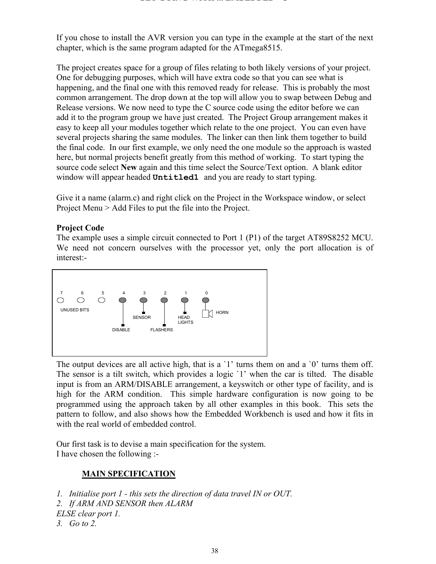If you chose to install the AVR version you can type in the example at the start of the next chapter, which is the same program adapted for the ATmega8515.

The project creates space for a group of files relating to both likely versions of your project. One for debugging purposes, which will have extra code so that you can see what is happening, and the final one with this removed ready for release. This is probably the most common arrangement. The drop down at the top will allow you to swap between Debug and Release versions. We now need to type the C source code using the editor before we can add it to the program group we have just created. The Project Group arrangement makes it easy to keep all your modules together which relate to the one project. You can even have several projects sharing the same modules. The linker can then link them together to build the final code. In our first example, we only need the one module so the approach is wasted here, but normal projects benefit greatly from this method of working. To start typing the source code select **New** again and this time select the Source/Text option. A blank editor window will appear headed **Untitled1** and you are ready to start typing.

Give it a name (alarm.c) and right click on the Project in the Workspace window, or select Project Menu > Add Files to put the file into the Project.

#### **Project Code**

The example uses a simple circuit connected to Port 1 (P1) of the target AT89S8252 MCU. We need not concern ourselves with the processor yet, only the port allocation is of interest:-



The output devices are all active high, that is a '1' turns them on and a '0' turns them off. The sensor is a tilt switch, which provides a logic `1' when the car is tilted. The disable input is from an ARM/DISABLE arrangement, a keyswitch or other type of facility, and is high for the ARM condition. This simple hardware configuration is now going to be programmed using the approach taken by all other examples in this book. This sets the pattern to follow, and also shows how the Embedded Workbench is used and how it fits in with the real world of embedded control.

Our first task is to devise a main specification for the system. I have chosen the following :-

#### **MAIN SPECIFICATION**

*1. Initialise port 1 - this sets the direction of data travel IN or OUT.*

*2. If ARM AND SENSOR then ALARM*

*ELSE clear port 1.*

*3. Go to 2.*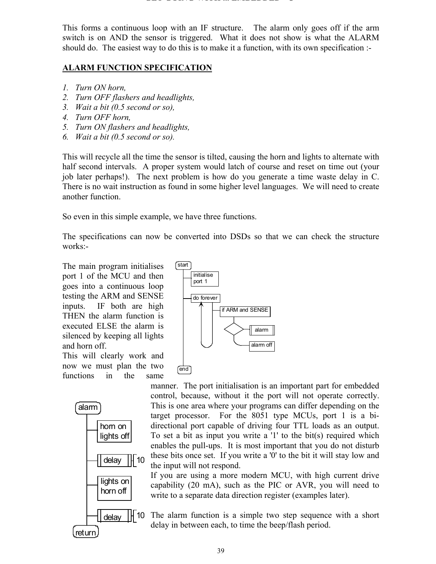#### **GET GOING WITH ... EMBEDDED C**

This forms a continuous loop with an IF structure. The alarm only goes off if the arm switch is on AND the sensor is triggered. What it does not show is what the ALARM should do. The easiest way to do this is to make it a function, with its own specification :-

### **ALARM FUNCTION SPECIFICATION**

- *1. Turn ON horn,*
- *2. Turn OFF flashers and headlights,*
- *3. Wait a bit (0.5 second or so),*
- *4. Turn OFF horn,*
- *5. Turn ON flashers and headlights,*
- *6. Wait a bit (0.5 second or so).*

This will recycle all the time the sensor is tilted, causing the horn and lights to alternate with half second intervals. A proper system would latch of course and reset on time out (your job later perhaps!). The next problem is how do you generate a time waste delay in C. There is no wait instruction as found in some higher level languages. We will need to create another function.

So even in this simple example, we have three functions.

The specifications can now be converted into DSDs so that we can check the structure works:-

The main program initialises port 1 of the MCU and then goes into a continuous loop testing the ARM and SENSE inputs. IF both are high THEN the alarm function is executed ELSE the alarm is silenced by keeping all lights and horn off.

This will clearly work and now we must plan the two functions in the same





manner. The port initialisation is an important part for embedded control, because, without it the port will not operate correctly. This is one area where your programs can differ depending on the target processor. For the 8051 type MCUs, port 1 is a bidirectional port capable of driving four TTL loads as an output. To set a bit as input you write a '1' to the bit(s) required which enables the pull-ups. It is most important that you do not disturb these bits once set. If you write a '0' to the bit it will stay low and the input will not respond.

If you are using a more modern MCU, with high current drive capability (20 mA), such as the PIC or AVR, you will need to write to a separate data direction register (examples later).

The alarm function is a simple two step sequence with a short delay in between each, to time the beep/flash period.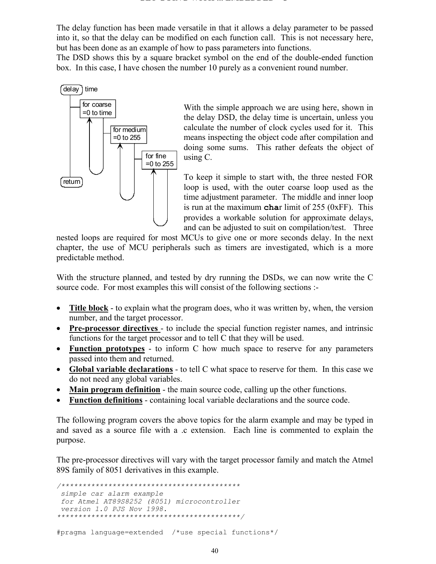The delay function has been made versatile in that it allows a delay parameter to be passed into it, so that the delay can be modified on each function call. This is not necessary here, but has been done as an example of how to pass parameters into functions.

The DSD shows this by a square bracket symbol on the end of the double-ended function box. In this case, I have chosen the number 10 purely as a convenient round number.



With the simple approach we are using here, shown in the delay DSD, the delay time is uncertain, unless you calculate the number of clock cycles used for it. This means inspecting the object code after compilation and doing some sums. This rather defeats the object of using C.

To keep it simple to start with, the three nested FOR loop is used, with the outer coarse loop used as the time adjustment parameter. The middle and inner loop is run at the maximum **cha**r limit of 255 (0xFF). This provides a workable solution for approximate delays, and can be adjusted to suit on compilation/test. Three

nested loops are required for most MCUs to give one or more seconds delay. In the next chapter, the use of MCU peripherals such as timers are investigated, which is a more predictable method.

With the structure planned, and tested by dry running the DSDs, we can now write the C source code. For most examples this will consist of the following sections :-

- **Title block** to explain what the program does, who it was written by, when, the version number, and the target processor.
- **Pre-processor directives**  to include the special function register names, and intrinsic functions for the target processor and to tell C that they will be used.
- **Function prototypes** to inform C how much space to reserve for any parameters passed into them and returned.
- **Global variable declarations** to tell C what space to reserve for them. In this case we do not need any global variables.
- **Main program definition** the main source code, calling up the other functions.
- **Function definitions** containing local variable declarations and the source code.

The following program covers the above topics for the alarm example and may be typed in and saved as a source file with a .c extension. Each line is commented to explain the purpose.

The pre-processor directives will vary with the target processor family and match the Atmel 89S family of 8051 derivatives in this example.

*/\*\*\*\*\*\*\*\*\*\*\*\*\*\*\*\*\*\*\*\*\*\*\*\*\*\*\*\*\*\*\*\*\*\*\*\*\*\*\*\*\*\* simple car alarm example for Atmel AT89S8252 (8051) microcontroller version 1.0 PJS Nov 1998. \*\*\*\*\*\*\*\*\*\*\*\*\*\*\*\*\*\*\*\*\*\*\*\*\*\*\*\*\*\*\*\*\*\*\*\*\*\*\*\*\*\*\*/*

#pragma language=extended /\*use special functions\*/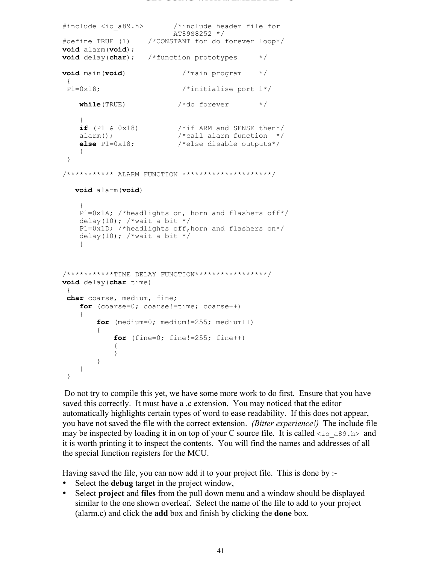```
#include <io_a89.h> /*include header file for
                        AT89S8252 */
#define TRUE (1) /*CONSTANT for do forever loop*/
void alarm(void);
void delay(char); /*function prototypes */
void main(void) /*main program */
{1 \n91 = 0 \times 18:}/*initialise port 1*/while(TRUE) \frac{1}{2} /*do forever */
   {<br>if (P1 & 0x18)
if (P1 & 0x18) \qquad /*if ARM and SENSE then*/
alarm(); \frac{1}{2} /*call alarm function */
 else P1=0x18; /*else disable outputs*/
    }
  }
/*********** ALARM FUNCTION *********************/
   void alarm(void)
\{ P1=0x1A; /*headlights on, horn and flashers off*/
   delay(10); /* wait a bit */ P1=0x1D; /*headlights off,horn and flashers on*/
   delay(10); /*wait a bit */
     }
/***********TIME DELAY FUNCTION*****************/
void delay(char time)
  {
char coarse, medium, fine;
   for (coarse=0; coarse!=time; coarse++)
     {
        for (medium=0; medium!=255; medium++)
\{for (fine=0; fine!=255; fine++)\{ }
        }
    }
  }
```
 Do not try to compile this yet, we have some more work to do first. Ensure that you have saved this correctly. It must have a .c extension. You may noticed that the editor automatically highlights certain types of word to ease readability. If this does not appear, you have not saved the file with the correct extension. *(Bitter experience!)* The include file may be inspected by loading it in on top of your C source file. It is called  $\langle \cdot | \cdot \rangle$  as and it is worth printing it to inspect the contents. You will find the names and addresses of all the special function registers for the MCU.

Having saved the file, you can now add it to your project file. This is done by :-

- Select the **debug** target in the project window,
- Select **project** and **files** from the pull down menu and a window should be displayed similar to the one shown overleaf. Select the name of the file to add to your project (alarm.c) and click the **add** box and finish by clicking the **done** box.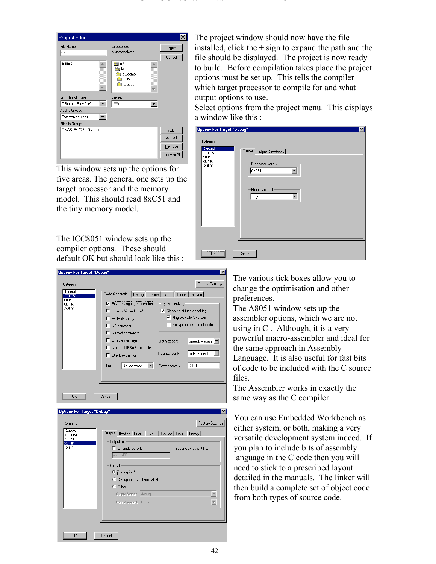| <b>Project Files</b>  |                                       |                |
|-----------------------|---------------------------------------|----------------|
| File Name:<br>l*.c    | Directories:<br>c:\iar\ewdemo         | Done<br>Cancel |
| alarm.c               | c:۱<br>iar<br>ewdemo<br>8051<br>Debug |                |
| List Files of Type:   | Drives:                               |                |
| C Source Files (*.c)  | ⊜c:                                   |                |
| Add to Group:         |                                       |                |
| Common sources        |                                       |                |
| Files in Group:       |                                       |                |
| C:\IAR\EWDEMO\alarm.c |                                       | Add            |
|                       |                                       | Add All        |
|                       |                                       | Remove         |
|                       |                                       |                |
|                       |                                       | Remove All     |

This window sets up the options for five areas. The general one sets up the target processor and the memory model. This should read 8xC51 and the tiny memory model.

The ICC8051 window sets up the compiler options. These should default OK but should look like this :-

| <b>Options For Target "Debug"</b>                                 |                                                                                                                                                                                                                                                                         |                                                                                                                                                                                  | $\vert x \vert$                                  |
|-------------------------------------------------------------------|-------------------------------------------------------------------------------------------------------------------------------------------------------------------------------------------------------------------------------------------------------------------------|----------------------------------------------------------------------------------------------------------------------------------------------------------------------------------|--------------------------------------------------|
| Category:<br>General<br><b>ICC8051</b><br>A8051<br>XLINK<br>C-SPY | Code Generation   Debug   #define   List   #undef   Include  <br>Enable language extensions<br>'char' is 'signed char'<br>Writable strings<br>'//' comments<br>Nested comments<br>Disable warnings<br>Make a LIBRARY module<br>Stack expansion<br>Function No reentrant | Type checking<br>Global strict type checking<br>⊽<br>$\nabla$ Flag old-style functions<br>No type info in object code<br>Optimization:<br>Register bank<br>CODE<br>Code segment: | Factory Settings<br>Speed, Medium<br>Independent |
|                                                                   |                                                                                                                                                                                                                                                                         |                                                                                                                                                                                  |                                                  |
| 0K                                                                | Cancel                                                                                                                                                                                                                                                                  |                                                                                                                                                                                  |                                                  |

| Options For Target "Debug"                                               |                                                                                                                                                                                                                                        | $\vert x \vert$                            |
|--------------------------------------------------------------------------|----------------------------------------------------------------------------------------------------------------------------------------------------------------------------------------------------------------------------------------|--------------------------------------------|
| Category:<br>General<br><b>ICC8051</b><br>A8051<br><b>XLINK</b><br>C-SPY | Output   #define   Error   List   Include   Input   Library  <br>Output file<br>Override default<br>alarm.d03<br>Format<br>C Debug info<br>C Debug info with terminal I/O<br>$C$ Other<br>Output format: debug<br>Format variant: None | Factory Settings<br>Secondary output file: |
| <b>OK</b>                                                                | Cancel                                                                                                                                                                                                                                 |                                            |

The project window should now have the file installed, click the  $+$  sign to expand the path and the file should be displayed. The project is now ready to build. Before compilation takes place the project options must be set up. This tells the compiler which target processor to compile for and what output options to use.

Select options from the project menu. This displays a window like this :-

| Options For Target "Debug"                                               | $\mathbf{z}$                                                                                   |
|--------------------------------------------------------------------------|------------------------------------------------------------------------------------------------|
| Category:<br>General<br><b>ICC8051</b><br>A8051<br><b>XLINK</b><br>C-SPY | Target   Output Directories  <br>Processor variant-<br>8×C51<br>▼<br>Memory model<br>Tiny<br>▼ |
| $\overline{\text{OK}}$<br>                                               | Cancel                                                                                         |

The various tick boxes allow you to change the optimisation and other preferences.

The A8051 window sets up the assembler options, which we are not using in C . Although, it is a very powerful macro-assembler and ideal for the same approach in Assembly Language. It is also useful for fast bits of code to be included with the C source files.

The Assembler works in exactly the same way as the C compiler.

You can use Embedded Workbench as either system, or both, making a very versatile development system indeed. If you plan to include bits of assembly language in the C code then you will need to stick to a prescribed layout detailed in the manuals. The linker will then build a complete set of object code from both types of source code.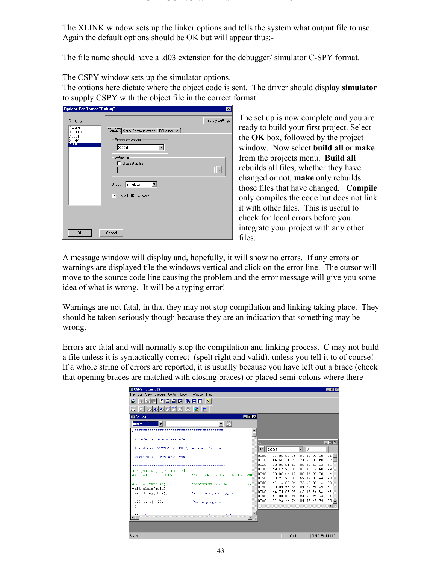#### **GET GOING WITH ... EMBEDDED C**

The XLINK window sets up the linker options and tells the system what output file to use. Again the default options should be OK but will appear thus:-

The file name should have a .d03 extension for the debugger/ simulator C-SPY format.

The CSPY window sets up the simulator options.

The options here dictate where the object code is sent. The driver should display **simulator** to supply CSPY with the object file in the correct format.

| Options For Target "Debug"                           |                                                                                                                                                                    | $\vert x \vert$  |
|------------------------------------------------------|--------------------------------------------------------------------------------------------------------------------------------------------------------------------|------------------|
| Category:                                            |                                                                                                                                                                    | Factory Settings |
| General<br>ICC8051<br>A8051<br><b>XLINK</b><br>C-SPY | [Setup   Serial Communication   ROM monitor  <br>Processor variant<br>8×C51<br>Setup file<br>Use setup file<br>Simulator<br>Driver:<br>$\nabla$ Make CODE writable | $\mathbb{Z}_p$   |
| 0K                                                   | Cancel                                                                                                                                                             |                  |

The set up is now complete and you are ready to build your first project. Select the **OK** box, followed by the project window. Now select **build all** or **make** from the projects menu. **Build all** rebuilds all files, whether they have changed or not, **make** only rebuilds those files that have changed. **Compile** only compiles the code but does not link it with other files. This is useful to check for local errors before you integrate your project with any other files.

A message window will display and, hopefully, it will show no errors. If any errors or warnings are displayed tile the windows vertical and click on the error line. The cursor will move to the source code line causing the problem and the error message will give you some idea of what is wrong. It will be a typing error!

Warnings are not fatal, in that they may not stop compilation and linking taking place. They should be taken seriously though because they are an indication that something may be wrong.

Errors are fatal and will normally stop the compilation and linking process. C may not build a file unless it is syntactically correct (spelt right and valid), unless you tell it to of course! If a whole string of errors are reported, it is usually because you have left out a brace (check that opening braces are matched with closing braces) or placed semi-colons where there

| SCSPY - alarm.d03                                        |                               |                 |                 |                            |         |                         |    |                            |  | $-10$ $\times$                           |
|----------------------------------------------------------|-------------------------------|-----------------|-----------------|----------------------------|---------|-------------------------|----|----------------------------|--|------------------------------------------|
| Edit View Execute Control Options Window Help<br>File    |                               |                 |                 |                            |         |                         |    |                            |  |                                          |
| 히미터지 터비미 ?                                               |                               |                 |                 |                            |         |                         |    |                            |  |                                          |
| - 명화리뾔병정 정<br>$\mathbb{C}$                               | 66 Y                          |                 |                 |                            |         |                         |    |                            |  |                                          |
| <b>IN</b> Source                                         |                               | $\Box$ D $\Box$ |                 |                            |         |                         |    |                            |  |                                          |
| ۰<br>alarm                                               | ▼ 종                           |                 |                 |                            |         |                         |    |                            |  |                                          |
|                                                          |                               |                 |                 |                            |         |                         |    |                            |  |                                          |
| simple car alarm example                                 |                               |                 |                 |                            |         |                         |    |                            |  |                                          |
|                                                          |                               |                 | rγ              |                            |         |                         |    |                            |  | $\Box$ D $\Box$                          |
| for Atmel AT89S8252 (8051) microcontroller               |                               |                 |                 | $32$ CODE                  |         |                         | ▾▏ | $\sqrt{0}$                 |  |                                          |
| version 1.0 PJS Nov 1998.                                |                               |                 | booo            | 02 00 03 75                |         |                         |    | 81 23 90 00                |  | $01 -$                                   |
|                                                          |                               |                 | hn 1 n<br>hn2n. | 4D 60 51 78<br>90 00 01 12 |         |                         |    | 23 76 00 D8<br>00 6D 60 05 |  | FC<br>E4                                 |
|                                                          |                               |                 | boso.           | A9 82 90 00                |         |                         |    | 01 A8 82 E8                |  | 99                                       |
| #pragma language=extended<br>#include <io a89.h=""></io> | /*include header file for AT8 |                 | <b>b</b> 040    | 90 00 CB 12                |         |                         |    | 00 76 90 00                |  | CF                                       |
|                                                          |                               |                 | boso.           | 00 76 90 00                |         |                         |    | D7 12 00 94                |  | 90                                       |
| #define TRUE (1)                                         | /*CONSTANT for do forever loo |                 | hn sn           | R3 12 00 94                |         |                         |    | 75 DO 00 12                |  | nn                                       |
| void alarm(void);                                        |                               |                 | bozo.           | 70 03 EE 65                |         |                         |    | 83 22 E4 93                |  | F8                                       |
| void delay(char);                                        | /*function prototypes         |                 | boso.           |                            |         | FE 74 03 93 F5 82 8E 83 |    |                            |  | E8                                       |
|                                                          |                               |                 | b090.           |                            |         | A3 08 80 F4 E4 93 FC 74 |    |                            |  | 01                                       |
| void main(void)                                          | /*main program                |                 | hnan            |                            |         | 03 93 FF 74             |    | 04 93 F8 74                |  | $05$ <sub><math>\rightarrow</math></sub> |
|                                                          |                               |                 |                 |                            |         |                         |    |                            |  | $\mathbf{H}$                             |
|                                                          |                               |                 |                 |                            |         |                         |    |                            |  |                                          |
| <b>THE OWNER</b>                                         | $J\#$ imitimlalan mant 1      |                 |                 |                            |         |                         |    |                            |  |                                          |
|                                                          |                               |                 |                 |                            |         |                         |    |                            |  |                                          |
|                                                          |                               |                 |                 |                            |         |                         |    |                            |  |                                          |
| $D = -4$                                                 |                               |                 |                 |                            | 1.40214 |                         |    |                            |  | 01/17/00 14:44:04                        |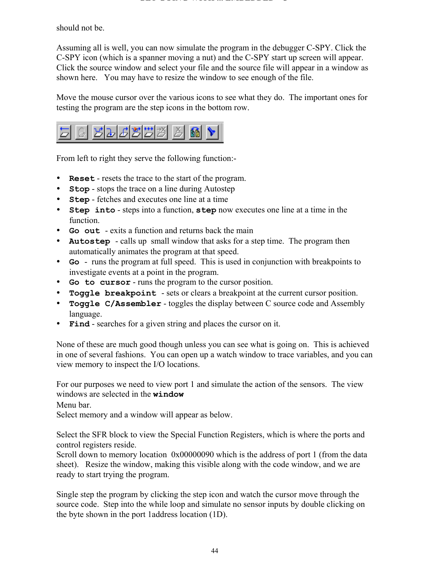should not be.

Assuming all is well, you can now simulate the program in the debugger C-SPY. Click the C-SPY icon (which is a spanner moving a nut) and the C-SPY start up screen will appear. Click the source window and select your file and the source file will appear in a window as shown here. You may have to resize the window to see enough of the file.

Move the mouse cursor over the various icons to see what they do. The important ones for testing the program are the step icons in the bottom row.



From left to right they serve the following function:-

- **Reset** resets the trace to the start of the program.
- **Stop** stops the trace on a line during Autostep
- **Step** fetches and executes one line at a time
- y **Step into** steps into a function, **step** now executes one line at a time in the function.
- **Go out** exits a function and returns back the main
- y **Autostep**  calls up small window that asks for a step time. The program then automatically animates the program at that speed.
- **Go** runs the program at full speed. This is used in conjunction with breakpoints to investigate events at a point in the program.
- **Go to cursor** runs the program to the cursor position.
- **Toggle breakpoint** sets or clears a breakpoint at the current cursor position.
- y **Toggle C/Assembler** toggles the display between C source code and Assembly language.
- **Find** searches for a given string and places the cursor on it.

None of these are much good though unless you can see what is going on. This is achieved in one of several fashions. You can open up a watch window to trace variables, and you can view memory to inspect the I/O locations.

For our purposes we need to view port 1 and simulate the action of the sensors. The view windows are selected in the **window**

Menu bar.

Select memory and a window will appear as below.

Select the SFR block to view the Special Function Registers, which is where the ports and control registers reside.

Scroll down to memory location 0x00000090 which is the address of port 1 (from the data sheet). Resize the window, making this visible along with the code window, and we are ready to start trying the program.

Single step the program by clicking the step icon and watch the cursor move through the source code. Step into the while loop and simulate no sensor inputs by double clicking on the byte shown in the port 1address location (1D).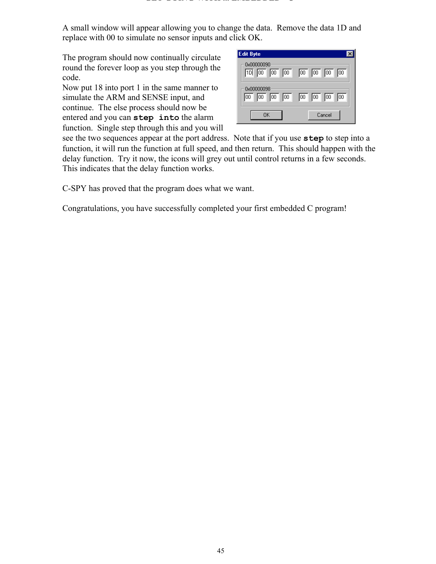A small window will appear allowing you to change the data. Remove the data 1D and replace with 00 to simulate no sensor inputs and click OK.

The program should now continually circulate round the forever loop as you step through the code.

Now put 18 into port 1 in the same manner to simulate the ARM and SENSE input, and continue. The else process should now be entered and you can **step into** the alarm function. Single step through this and you will

| Edit Byte                                                         |                                                     |
|-------------------------------------------------------------------|-----------------------------------------------------|
| 0x00000090<br>$\boxed{10}$ $\boxed{00}$ $\boxed{00}$ $\boxed{00}$ | ⋒<br>ᅇ<br>厕<br>阿                                    |
| 0x00000098<br>$\boxed{00}$<br>$\boxed{00}$<br>00<br>100           | Гoо<br>$\boxed{00}$<br>$\boxed{00}$<br>$\boxed{00}$ |
| OK                                                                | Cancel                                              |

see the two sequences appear at the port address. Note that if you use **step** to step into a function, it will run the function at full speed, and then return. This should happen with the delay function. Try it now, the icons will grey out until control returns in a few seconds. This indicates that the delay function works.

C-SPY has proved that the program does what we want.

Congratulations, you have successfully completed your first embedded C program!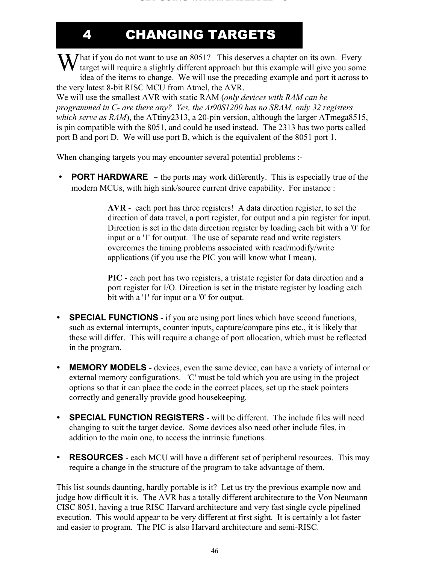4 CHANGING TARGETS

What if you do not want to use an 8051? This deserves a chapter on its own. Every target will require a slightly different approach but this example will give you som target will require a slightly different approach but this example will give you some idea of the items to change. We will use the preceding example and port it across to the very latest 8-bit RISC MCU from Atmel, the AVR.

We will use the smallest AVR with static RAM (*only devices with RAM can be programmed in C- are there any? Yes, the At90S1200 has no SRAM, only 32 registers which serve as RAM*), the ATtiny2313, a 20-pin version, although the larger ATmega8515, is pin compatible with the 8051, and could be used instead. The 2313 has two ports called port B and port D. We will use port B, which is the equivalent of the 8051 port 1.

When changing targets you may encounter several potential problems :-

• **PORT HARDWARE** – the ports may work differently. This is especially true of the modern MCUs, with high sink/source current drive capability. For instance :

> **AVR** - each port has three registers! A data direction register, to set the direction of data travel, a port register, for output and a pin register for input. Direction is set in the data direction register by loading each bit with a '0' for input or a '1' for output. The use of separate read and write registers overcomes the timing problems associated with read/modify/write applications (if you use the PIC you will know what I mean).

**PIC** - each port has two registers, a tristate register for data direction and a port register for I/O. Direction is set in the tristate register by loading each bit with a '1' for input or a '0' for output.

- **SPECIAL FUNCTIONS** if you are using port lines which have second functions, such as external interrupts, counter inputs, capture/compare pins etc., it is likely that these will differ. This will require a change of port allocation, which must be reflected in the program.
- **MEMORY MODELS** devices, even the same device, can have a variety of internal or external memory configurations. 'C' must be told which you are using in the project options so that it can place the code in the correct places, set up the stack pointers correctly and generally provide good housekeeping.
- **SPECIAL FUNCTION REGISTERS** will be different. The include files will need changing to suit the target device. Some devices also need other include files, in addition to the main one, to access the intrinsic functions.
- **RESOURCES** each MCU will have a different set of peripheral resources. This may require a change in the structure of the program to take advantage of them.

This list sounds daunting, hardly portable is it? Let us try the previous example now and judge how difficult it is. The AVR has a totally different architecture to the Von Neumann CISC 8051, having a true RISC Harvard architecture and very fast single cycle pipelined execution. This would appear to be very different at first sight. It is certainly a lot faster and easier to program. The PIC is also Harvard architecture and semi-RISC.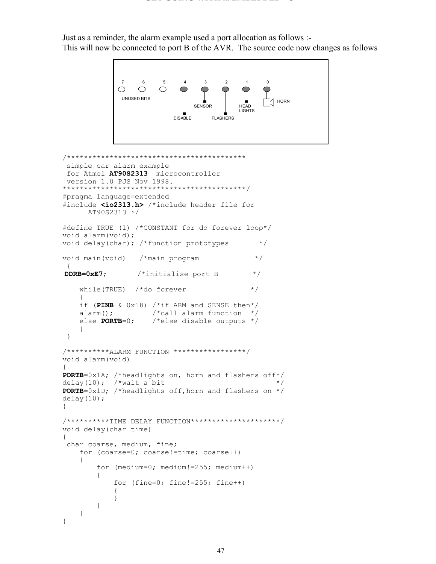Just as a reminder, the alarm example used a port allocation as follows :- This will now be connected to port B of the AVR. The source code now changes as follows

```
7 6 5 4 3 2 1 0
            \circ\circ\circUNUSED BITS
                             SENSOR
                                       HEAD
                                       LIGHTS
                        DISABLEFLASHERS
/******************************************
  simple car alarm example
 for Atmel AT90S2313 microcontroller
 version 1.0 PJS Nov 1998.
*******************************************/
#pragma language=extended
#include <io2313.h> /*include header file for 
     AT90S2313 */
#define TRUE (1) /*CONSTANT for do forever loop*/
void alarm(void);
void delay(char); /*function prototypes */
void main(void) /*main program */
 {
DDRB=0xE7; /*initialise port B */
   while(TRUE) /*do forever */
     {
    if (PINB & 0x18) /*if ARM and SENSE then*/
   alarm(); \frac{1}{2} /*call alarm function */
    else PORTB=0; /*else disable outputs */
     }
  }
/**********ALARM FUNCTION *****************/
void alarm(void)
{
PORTB=0x1A; /*headlights on, horn and flashers off*/
delay(10); /*wait a bit \star/
PORTB=0x1D; /*headlights off,horn and flashers on */
delay(10);}
/**********TIME DELAY FUNCTION*********************/
void delay(char time)
{
 char coarse, medium, fine;
    for (coarse=0; coarse!=time; coarse++)
\{ for (medium=0; medium!=255; medium++)
\{ for (fine=0; fine!=255; fine++)
\{ }
        }
     }
}
```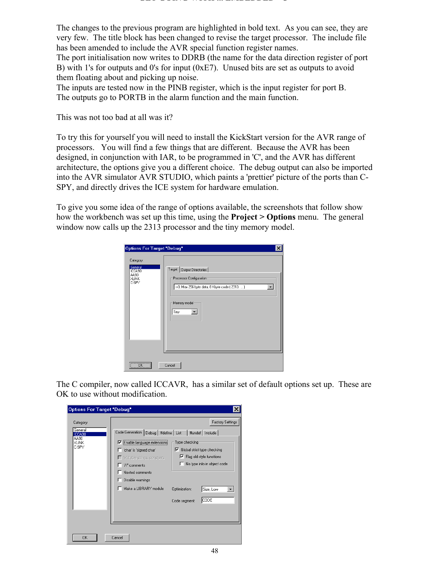The changes to the previous program are highlighted in bold text. As you can see, they are very few. The title block has been changed to revise the target processor. The include file has been amended to include the AVR special function register names.

The port initialisation now writes to DDRB (the name for the data direction register of port B) with 1's for outputs and 0's for input (0xE7). Unused bits are set as outputs to avoid them floating about and picking up noise.

The inputs are tested now in the PINB register, which is the input register for port B. The outputs go to PORTB in the alarm function and the main function.

This was not too bad at all was it?

To try this for yourself you will need to install the KickStart version for the AVR range of processors. You will find a few things that are different. Because the AVR has been designed, in conjunction with IAR, to be programmed in 'C', and the AVR has different architecture, the options give you a different choice. The debug output can also be imported into the AVR simulator AVR STUDIO, which paints a 'prettier' picture of the ports than C-SPY, and directly drives the ICE system for hardware emulation.

To give you some idea of the range of options available, the screenshots that follow show how the workbench was set up this time, using the **Project > Options** menu. The general window now calls up the 2313 processor and the tiny memory model.

| Options For Target "Debug" | Target   Output Directories                     |
|----------------------------|-------------------------------------------------|
| Category:                  | Processor Configuration                         |
| General                    | -v0, Max 256 byte data, 8 Kbyte code ( 2313,  ) |
| ICCA90                     | $\blacktriangledown$                            |
| AA90                       | Memory model                                    |
| XLINK                      | Tiny                                            |
| C-SPY                      | $\overline{\mathbf{v}}$                         |
| $\overline{OK}$<br>        | Cancel                                          |

The C compiler, now called ICCAVR, has a similar set of default options set up. These are OK to use without modification.

| Options For Target "Debug"                                      |                                                                                                                                                                                                                                               | ×                                                                                                                                                                                                            |
|-----------------------------------------------------------------|-----------------------------------------------------------------------------------------------------------------------------------------------------------------------------------------------------------------------------------------------|--------------------------------------------------------------------------------------------------------------------------------------------------------------------------------------------------------------|
| Category:<br>General<br>ICCA90<br>AA90<br><b>XLINK</b><br>C-SPY | Code Generation   Debug   #define   List   #undef   Include  <br>Enable language extensions<br>'char' is 'signed char'<br>$\Box$ Writable strings, constants<br>'//' comments<br>Nested comments<br>Disable warnings<br>Make a LIBRARY module | <b>Factory Settings</b><br>Type checking<br>Global strict type checking<br>罓<br>$\nabla$ Flag old-style functions<br>No type info in object code<br>ш<br>Optimization:<br>Size, Low<br>CODE<br>Code segment: |
| OK                                                              | Cancel                                                                                                                                                                                                                                        |                                                                                                                                                                                                              |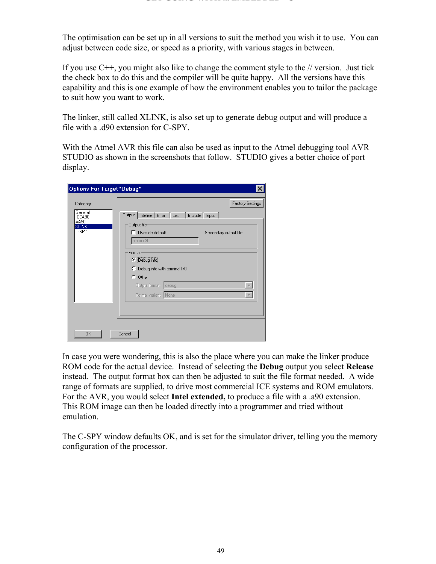The optimisation can be set up in all versions to suit the method you wish it to use. You can adjust between code size, or speed as a priority, with various stages in between.

If you use  $C_{++}$ , you might also like to change the comment style to the  $\ell$  version. Just tick the check box to do this and the compiler will be quite happy. All the versions have this capability and this is one example of how the environment enables you to tailor the package to suit how you want to work.

The linker, still called XLINK, is also set up to generate debug output and will produce a file with a .d90 extension for C-SPY.

With the Atmel AVR this file can also be used as input to the Atmel debugging tool AVR STUDIO as shown in the screenshots that follow. STUDIO gives a better choice of port display.

| Options For Target "Debug"                               |                                                                                                                           | $\times$                                          |
|----------------------------------------------------------|---------------------------------------------------------------------------------------------------------------------------|---------------------------------------------------|
| Category:<br>General<br>ICCA90<br>AA90<br>XLINK<br>C-SPY | Output   #define   Error   List   Include   Input  <br>Output file<br>$\Box$ Override default<br>alarm.d90                | <b>Factory Settings</b><br>Secondary output file: |
|                                                          | Format:<br>C Debug info<br>C Debug info with terminal I/O<br>$\cap$ Other<br>Output format: debug<br>Format variant: None | $\rightarrow$                                     |
| OK                                                       | Cancel                                                                                                                    |                                                   |

In case you were wondering, this is also the place where you can make the linker produce ROM code for the actual device. Instead of selecting the **Debug** output you select **Release** instead. The output format box can then be adjusted to suit the file format needed. A wide range of formats are supplied, to drive most commercial ICE systems and ROM emulators. For the AVR, you would select **Intel extended,** to produce a file with a .a90 extension. This ROM image can then be loaded directly into a programmer and tried without emulation.

The C-SPY window defaults OK, and is set for the simulator driver, telling you the memory configuration of the processor.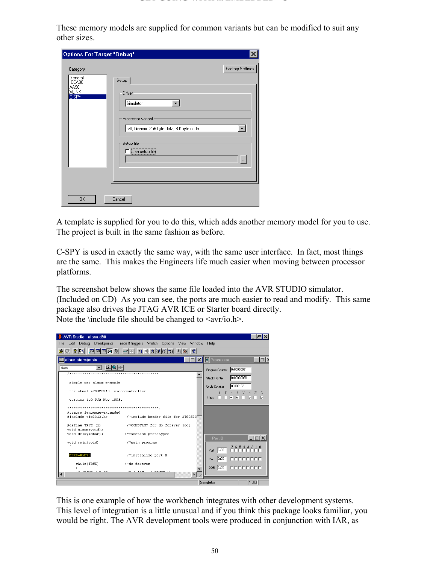These memory models are supplied for common variants but can be modified to suit any other sizes.

| Options For Target "Debug"                                      |                                                                                                                               | ×                                                                               |
|-----------------------------------------------------------------|-------------------------------------------------------------------------------------------------------------------------------|---------------------------------------------------------------------------------|
| Category:<br>General<br>ICCA90<br>AA90<br><b>XLINK</b><br>C-SPY | Setup<br>Driver<br>Simulator<br>Processor variant<br>-v0, Generic 256 byte data, 8 Kbyte code<br>Setup file<br>Use setup file | <b>Factory Settings</b><br>$\overline{\phantom{a}}$<br>$\overline{\phantom{a}}$ |
| 0K                                                              | Cancel                                                                                                                        |                                                                                 |

A template is supplied for you to do this, which adds another memory model for you to use. The project is built in the same fashion as before.

C-SPY is used in exactly the same way, with the same user interface. In fact, most things are the same. This makes the Engineers life much easier when moving between processor platforms.

The screenshot below shows the same file loaded into the AVR STUDIO simulator. (Included on CD) As you can see, the ports are much easier to read and modify. This same package also drives the JTAG AVR ICE or Starter board directly. Note the \include file should be changed to  $\langle$ avr/io.h >.



This is one example of how the workbench integrates with other development systems. This level of integration is a little unusual and if you think this package looks familiar, you would be right. The AVR development tools were produced in conjunction with IAR, as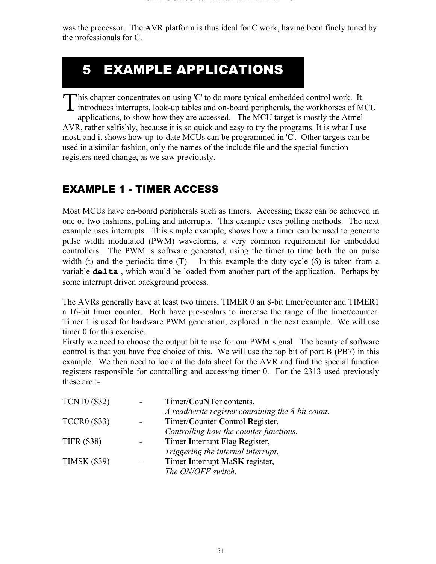was the processor. The AVR platform is thus ideal for C work, having been finely tuned by the professionals for C.

# 5 EXAMPLE APPLICATIONS

his chapter concentrates on using 'C' to do more typical embedded control work. It This chapter concentrates on using 'C' to do more typical embedded control work. It introduces interrupts, look-up tables and on-board peripherals, the workhorses of MCU applications, to show how they are accessed. The MCU target is mostly the Atmel AVR, rather selfishly, because it is so quick and easy to try the programs. It is what I use most, and it shows how up-to-date MCUs can be programmed in 'C'. Other targets can be used in a similar fashion, only the names of the include file and the special function registers need change, as we saw previously.

## EXAMPLE 1 - TIMER ACCESS

Most MCUs have on-board peripherals such as timers. Accessing these can be achieved in one of two fashions, polling and interrupts. This example uses polling methods. The next example uses interrupts. This simple example, shows how a timer can be used to generate pulse width modulated (PWM) waveforms, a very common requirement for embedded controllers. The PWM is software generated, using the timer to time both the on pulse width (t) and the periodic time (T). In this example the duty cycle  $(\delta)$  is taken from a variable **delta** , which would be loaded from another part of the application. Perhaps by some interrupt driven background process.

The AVRs generally have at least two timers, TIMER 0 an 8-bit timer/counter and TIMER1 a 16-bit timer counter. Both have pre-scalars to increase the range of the timer/counter. Timer 1 is used for hardware PWM generation, explored in the next example. We will use timer 0 for this exercise.

Firstly we need to choose the output bit to use for our PWM signal. The beauty of software control is that you have free choice of this. We will use the top bit of port B (PB7) in this example. We then need to look at the data sheet for the AVR and find the special function registers responsible for controlling and accessing timer 0. For the 2313 used previously these are :-

| <b>TCNT0 (\$32)</b> | Timer/CouNTer contents,                           |
|---------------------|---------------------------------------------------|
|                     | A read/write register containing the 8-bit count. |
| <b>TCCR0 (\$33)</b> | Timer/Counter Control Register,                   |
|                     | Controlling how the counter functions.            |
| <b>TIFR (\$38)</b>  | Timer Interrupt Flag Register,                    |
|                     | Triggering the internal interrupt,                |
| <b>TIMSK (\$39)</b> | Timer Interrupt MaSK register,                    |
|                     | The ON/OFF switch.                                |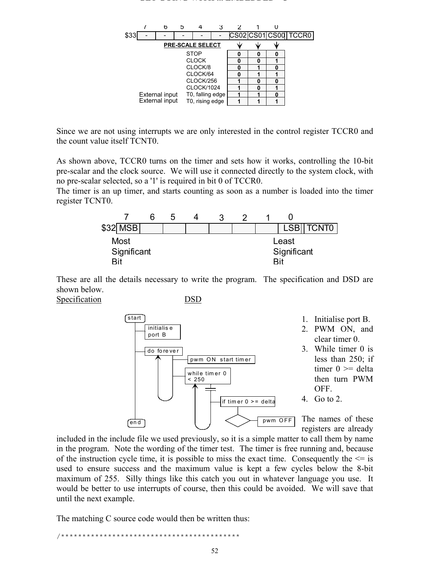#### **GET GOING WITH ... EMBEDDED C**



Since we are not using interrupts we are only interested in the control register TCCR0 and the count value itself TCNT0.

As shown above, TCCR0 turns on the timer and sets how it works, controlling the 10-bit pre-scalar and the clock source. We will use it connected directly to the system clock, with no pre-scalar selected, so a '1' is required in bit 0 of TCCR0.

The timer is an up timer, and starts counting as soon as a number is loaded into the timer register TCNT0.



These are all the details necessary to write the program. The specification and DSD are shown below.

Specification DSD



included in the include file we used previously, so it is a simple matter to call them by name in the program. Note the wording of the timer test. The timer is free running and, because of the instruction cycle time, it is possible to miss the exact time. Consequently the  $\leq$  is used to ensure success and the maximum value is kept a few cycles below the 8-bit maximum of 255. Silly things like this catch you out in whatever language you use. It would be better to use interrupts of course, then this could be avoided. We will save that until the next example.

The matching C source code would then be written thus:

/\*\*\*\*\*\*\*\*\*\*\*\*\*\*\*\*\*\*\*\*\*\*\*\*\*\*\*\*\*\*\*\*\*\*\*\*\*\*\*\*\*\*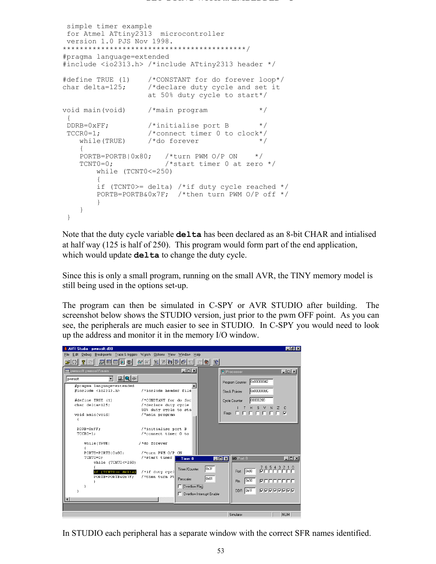```
 simple timer example
 for Atmel ATtiny2313 microcontroller
 version 1.0 PJS Nov 1998.
*******************************************/
#pragma language=extended
#include <io2313.h> /*include ATtiny2313 header */
#define TRUE (1) /*CONSTANT for do forever loop*/
char delta=125; /*declare duty cycle and set it
 at 50% duty cycle to start*/
void main(void) /*main program */
 {
DDRB=0xFF; {\scriptstyle \prime} /*initialise port B {\scriptstyle \star/} TCCR0=1; /*connect timer 0 to clock*/
 while(TRUE) /*do forever */
\{PORTB=PORTB|0x80; /*turn PWM O/P ON */
   TCNT0=0; /* start timer 0 at zero */ while (TCNT0<=250)
\{ if (TCNT0>= delta) /*if duty cycle reached */
       PORTB=PORTB&0x7F; /*then turn PWM O/P off */
 }
    }
  }
```
Note that the duty cycle variable **delta** has been declared as an 8-bit CHAR and intialised at half way (125 is half of 250). This program would form part of the end application, which would update **delta** to change the duty cycle.

Since this is only a small program, running on the small AVR, the TINY memory model is still being used in the options set-up.

The program can then be simulated in C-SPY or AVR STUDIO after building. The screenshot below shows the STUDIO version, just prior to the pwm OFF point. As you can see, the peripherals are much easier to see in STUDIO. In C-SPY you would need to look up the address and monitor it in the memory I/O window.

| AVR Studio - pwmsoft.d90                                                       |                                                                                                                 | $-10x$                                                                                                  |
|--------------------------------------------------------------------------------|-----------------------------------------------------------------------------------------------------------------|---------------------------------------------------------------------------------------------------------|
| Edit Debug Breakpoints Trace & triggers Watch Options View Window Help<br>File |                                                                                                                 |                                                                                                         |
| $\mathbb{Z}$ $\mathbb{Z}$ $\mathbb{Z}$ $\mathbb{Z}$ $\mathbb{Z}$<br>? D<br>허허  | $66'$ $%$<br>$\mathbb{E}[\mathbb{E}[\mathbf{P} \mathbf{P} \mathbf{P} \mathbf{Y}].$<br>$\mathbb{R}$ $\mathbb{R}$ |                                                                                                         |
| <b>图 pwmsoft pwmsoft\main</b>                                                  | $ \Box$ $\times$                                                                                                | $\Box$<br><b>D</b> Processor                                                                            |
| $\mathbf{Q} \geq 0$<br>$\blacktriangledown$<br>pwmsoft                         |                                                                                                                 | 0x00000042<br>Program Counter                                                                           |
| #pragma language=extended<br>#include <io2313.h></io2313.h>                    | /*include header file                                                                                           | 0x0000008C<br><b>Stack Pointer</b>                                                                      |
| #define TRUE (1)<br>char delta=125:                                            | /*CONSTANT for do for<br>/*declare duty cycle<br>50% duty cycle to sta                                          | 00000208<br>Cycle Counter<br>н<br>S V<br>N<br>z                                                         |
| void main (void)                                                               | /*main program                                                                                                  | Flags <b>EFFFFFFF</b>                                                                                   |
| DDRB=OxFF:<br>$TCCRO=1$ :                                                      | /*initialise port B<br>/*connect timer 0 to                                                                     |                                                                                                         |
| while (TRUE)<br>ł                                                              | /*do forever                                                                                                    |                                                                                                         |
| PORTB=PORTBIOx80;<br>TCNTO=0:<br>$while$ (TCNTO <= 250)                        | /*turn PWM O/P ON<br>/*start timer<br>Timer <sub>0</sub><br>$\Box$ $\Box$ $\times$                              | $ \Box$ $\times$<br><b>I/O Port B</b>                                                                   |
| if (TCNTO>= delta)<br>PORTB=PORTB&Ox7F                                         | Dx3F<br>Timer/Counter<br>/*if duty cycl<br>/*then turn PV<br>0x01<br>Prescaler                                  | ${\begin{array}{c} 7 & 6 & 5 & 4 & 3 & 2 & 1 & 0 \\ \hline \end{array}}$<br><b>0x80</b><br>Port<br>0:80 |
|                                                                                | Overflow Flag<br>Overflow Interrupt Enable                                                                      | Pin.<br>DDR OxFF<br>2222222                                                                             |
|                                                                                |                                                                                                                 |                                                                                                         |
|                                                                                |                                                                                                                 |                                                                                                         |
|                                                                                |                                                                                                                 | Simulator<br>NUM                                                                                        |

In STUDIO each peripheral has a separate window with the correct SFR names identified.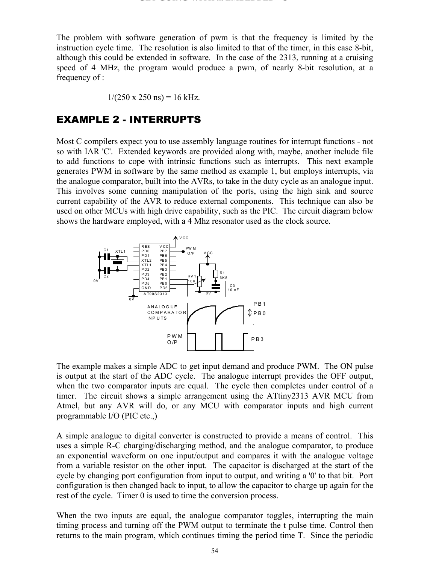The problem with software generation of pwm is that the frequency is limited by the instruction cycle time. The resolution is also limited to that of the timer, in this case 8-bit, although this could be extended in software. In the case of the 2313, running at a cruising speed of 4 MHz, the program would produce a pwm, of nearly 8-bit resolution, at a frequency of :

$$
1/(250 \times 250 \text{ ns}) = 16 \text{ kHz}.
$$

## EXAMPLE 2 - INTERRUPTS

Most C compilers expect you to use assembly language routines for interrupt functions - not so with IAR 'C'. Extended keywords are provided along with, maybe, another include file to add functions to cope with intrinsic functions such as interrupts. This next example generates PWM in software by the same method as example 1, but employs interrupts, via the analogue comparator, built into the AVRs, to take in the duty cycle as an analogue input. This involves some cunning manipulation of the ports, using the high sink and source current capability of the AVR to reduce external components. This technique can also be used on other MCUs with high drive capability, such as the PIC. The circuit diagram below shows the hardware employed, with a 4 Mhz resonator used as the clock source.



The example makes a simple ADC to get input demand and produce PWM. The ON pulse is output at the start of the ADC cycle. The analogue interrupt provides the OFF output, when the two comparator inputs are equal. The cycle then completes under control of a timer. The circuit shows a simple arrangement using the ATtiny2313 AVR MCU from Atmel, but any AVR will do, or any MCU with comparator inputs and high current programmable I/O (PIC etc.,)

A simple analogue to digital converter is constructed to provide a means of control. This uses a simple R-C charging/discharging method, and the analogue comparator, to produce an exponential waveform on one input/output and compares it with the analogue voltage from a variable resistor on the other input. The capacitor is discharged at the start of the cycle by changing port configuration from input to output, and writing a '0' to that bit. Port configuration is then changed back to input, to allow the capacitor to charge up again for the rest of the cycle. Timer 0 is used to time the conversion process.

When the two inputs are equal, the analogue comparator toggles, interrupting the main timing process and turning off the PWM output to terminate the t pulse time. Control then returns to the main program, which continues timing the period time T. Since the periodic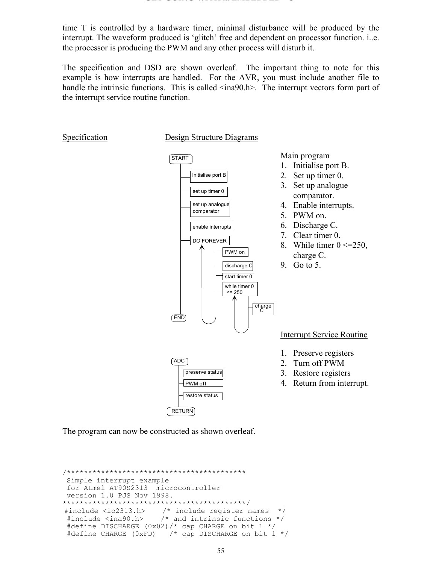time T is controlled by a hardware timer, minimal disturbance will be produced by the interrupt. The waveform produced is 'glitch' free and dependent on processor function. i..e. the processor is producing the PWM and any other process will disturb it.

The specification and DSD are shown overleaf. The important thing to note for this example is how interrupts are handled. For the AVR, you must include another file to handle the intrinsic functions. This is called  $\langle$ ina90.h>. The interrupt vectors form part of the interrupt service routine function.

Specification Design Structure Diagrams



The program can now be constructed as shown overleaf.

```
/******************************************
 Simple interrupt example
 for Atmel AT90S2313 microcontroller
 version 1.0 PJS Nov 1998.
*******************************************/
#include <io2313.h> /* include register names */
 #include <ina90.h> /* and intrinsic functions */
 #define DISCHARGE (0x02)/* cap CHARGE on bit 1 */
  #define CHARGE (0xFD) /* cap DISCHARGE on bit 1 */
```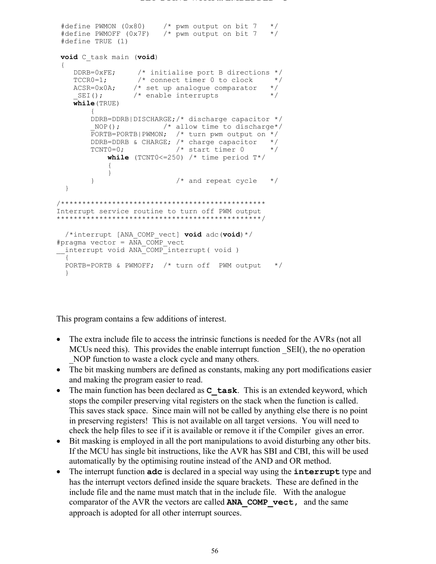```
 #define PWMON (0x80) /* pwm output on bit 7 */
 #define PWMOFF (0x7F) /* pwm output on bit 7 */
 #define TRUE (1)
void C_task main (void)
  {
 DDRB=0xFE; /* initialise port B directions */
 TCCR0=1; /* connect timer 0 to clock */
ACSR=0x0A; /* set up analogue comparator */
SEI(); \frac{1}{2} /* enable interrupts */
    while(TRUE)
 {
        DDRB=DDRB|DISCHARGE;/* discharge capacitor */
_NOP(); \hspace{1cm} /* allow time to discharge*/
 PORTB=PORTB|PWMON; /* turn pwm output on */
       DDRB=DDRB & CHARGE; /* charge capacitor */<br>TCNT0=0; /* start timer 0 */
       TCNT0=0; /* start timer 0
           while (TCNT0 <= 250) /* time period T*/{
 }
       \frac{1}{2} /* and repeat cycle \frac{1}{2} }
/************************************************
Interrupt service routine to turn off PWM output
************************************************/
  /*interrupt [ANA_COMP_vect] void adc(void)*/
#pragma vector = ANA_COMP_vect
 interrupt void ANA<sup>_</sup>COMP_interrupt( void )
   {
  PORTB=PORTB & PWMOFF; /* turn off PWM output */
   }
```
This program contains a few additions of interest.

- The extra include file to access the intrinsic functions is needed for the AVRs (not all MCUs need this). This provides the enable interrupt function \_SEI(), the no operation NOP function to waste a clock cycle and many others.
- The bit masking numbers are defined as constants, making any port modifications easier and making the program easier to read.
- The main function has been declared as **C** task. This is an extended keyword, which stops the compiler preserving vital registers on the stack when the function is called. This saves stack space. Since main will not be called by anything else there is no point in preserving registers! This is not available on all target versions. You will need to check the help files to see if it is available or remove it if the Compiler gives an error.
- Bit masking is employed in all the port manipulations to avoid disturbing any other bits. If the MCU has single bit instructions, like the AVR has SBI and CBI, this will be used automatically by the optimising routine instead of the AND and OR method.
- The interrupt function **adc** is declared in a special way using the **interrupt** type and has the interrupt vectors defined inside the square brackets. These are defined in the include file and the name must match that in the include file. With the analogue comparator of the AVR the vectors are called **ANA\_COMP\_vect,** and the same approach is adopted for all other interrupt sources.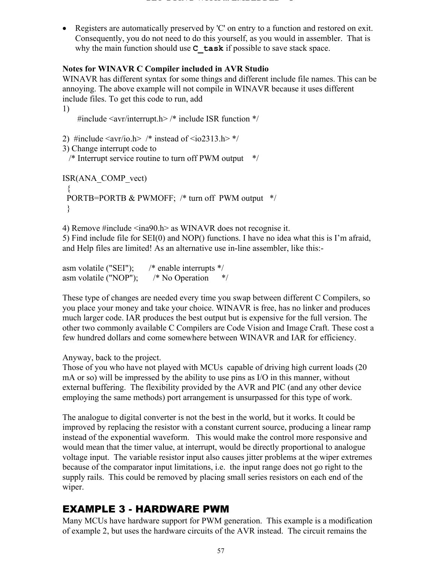• Registers are automatically preserved by 'C' on entry to a function and restored on exit. Consequently, you do not need to do this yourself, as you would in assembler. That is why the main function should use **C** task if possible to save stack space.

## **Notes for WINAVR C Compiler included in AVR Studio**

WINAVR has different syntax for some things and different include file names. This can be annoying. The above example will not compile in WINAVR because it uses different include files. To get this code to run, add

1) #include <avr/interrupt.h> /\* include ISR function \*/

```
2) #include \langle avr/io.h \rangle /* instead of \langle io2313.h \rangle */
```

```
3) Change interrupt code to
```

```
 /* Interrupt service routine to turn off PWM output */
```

```
ISR(ANA_COMP_vect)
 {
 PORTB=PORTB & PWMOFF; /* turn off PWM output */
  }
```
4) Remove #include <ina90.h> as WINAVR does not recognise it. 5) Find include file for SEI(0) and NOP() functions. I have no idea what this is I'm afraid, and Help files are limited! As an alternative use in-line assembler, like this:-

```
asm volatile ("SEI"); /* enable interrupts */
asm volatile ("NOP"); /* No Operation */
```
These type of changes are needed every time you swap between different C Compilers, so you place your money and take your choice. WINAVR is free, has no linker and produces much larger code. IAR produces the best output but is expensive for the full version. The other two commonly available C Compilers are Code Vision and Image Craft. These cost a few hundred dollars and come somewhere between WINAVR and IAR for efficiency.

Anyway, back to the project.

Those of you who have not played with MCUs capable of driving high current loads (20 mA or so) will be impressed by the ability to use pins as I/O in this manner, without external buffering. The flexibility provided by the AVR and PIC (and any other device employing the same methods) port arrangement is unsurpassed for this type of work.

The analogue to digital converter is not the best in the world, but it works. It could be improved by replacing the resistor with a constant current source, producing a linear ramp instead of the exponential waveform. This would make the control more responsive and would mean that the timer value, at interrupt, would be directly proportional to analogue voltage input. The variable resistor input also causes jitter problems at the wiper extremes because of the comparator input limitations, i.e. the input range does not go right to the supply rails. This could be removed by placing small series resistors on each end of the wiper.

## EXAMPLE 3 - HARDWARE PWM

Many MCUs have hardware support for PWM generation. This example is a modification of example 2, but uses the hardware circuits of the AVR instead. The circuit remains the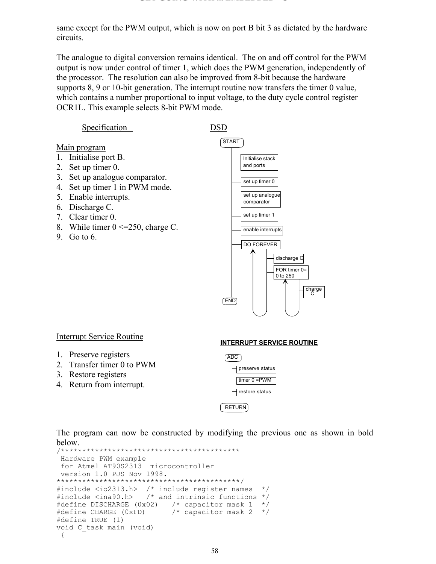same except for the PWM output, which is now on port B bit 3 as dictated by the hardware circuits.

The analogue to digital conversion remains identical. The on and off control for the PWM output is now under control of timer 1, which does the PWM generation, independently of the processor. The resolution can also be improved from 8-bit because the hardware supports 8, 9 or 10-bit generation. The interrupt routine now transfers the timer 0 value, which contains a number proportional to input voltage, to the duty cycle control register OCR1L. This example selects 8-bit PWM mode.

Specification DSD

- Main program
- 1. Initialise port B.
- 2. Set up timer 0.
- 3. Set up analogue comparator.
- 4. Set up timer 1 in PWM mode.
- 5. Enable interrupts.
- 6. Discharge C.
- 7. Clear timer 0.
- 8. While timer  $0 \le 250$ , charge C.
- 9. Go to 6.



#### Interrupt Service Routine

- 1. Preserve registers
- 2. Transfer timer 0 to PWM
- 3. Restore registers
- 4. Return from interrupt.

#### **INTERRUPT SERVICE ROUTINE**



The program can now be constructed by modifying the previous one as shown in bold below.

```
/******************************************
 Hardware PWM example
  for Atmel AT90S2313 microcontroller
 version 1.0 PJS Nov 1998.
*******************************************/
#include <io2313.h> /* include register names */
#include <ina90.h> /* and intrinsic functions */
#define DISCHARGE (0x02) /* capacitor mask 1 */
                          \frac{1}{x} capacitor mask 2 */
#define TRUE (1)
void C_task main (void)
 {
```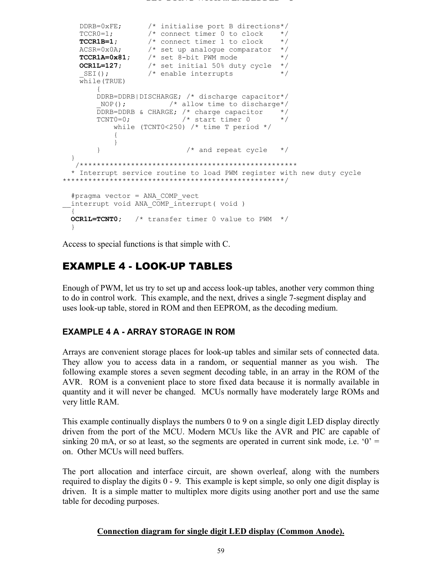```
 DDRB=0xFE; /* initialise port B directions*/
 TCCR0=1; /* connect timer 0 to clock */
 TCCR1B=1; /* connect timer 1 to clock */
ACSR=0x0A; \overline{\phantom{a}} /* set up analogue comparator */
 TCCR1A=0x81; /* set 8-bit PWM mode */
 OCR1L=127; /* set initial 50% duty cycle */
SEI(); \frac{1}{2} /* enable interrupts */
    while(TRUE)
        {
        DDRB=DDRB|DISCHARGE; /* discharge capacitor*/
        NOP(); \frac{1}{2} /* allow time to discharge*/
        DDRB=DDRB & CHARGE; /* charge capacitor \begin{array}{ccc} \star / \\ \star \end{array} TCNT0=0; \begin{array}{ccc} \star / \\ \star \end{array}TCNT0=0; /* start timer 0 while (TCNT0<250) /* time T period */
             {
 }
        \frac{1}{2} /* and repeat cycle \frac{1}{2} }
   /***************************************************
   * Interrupt service routine to load PWM register with new duty cycle
****************************************************/
  #pragma vector = ANA_COMP_vect
 interrupt void ANA \overline{COMP} interrupt( void )
\{\} OCR1L=TCNT0; /* transfer timer 0 value to PWM */
  }
```
Access to special functions is that simple with C.

## EXAMPLE 4 - LOOK-UP TABLES

Enough of PWM, let us try to set up and access look-up tables, another very common thing to do in control work. This example, and the next, drives a single 7-segment display and uses look-up table, stored in ROM and then EEPROM, as the decoding medium.

## **EXAMPLE 4 A - ARRAY STORAGE IN ROM**

Arrays are convenient storage places for look-up tables and similar sets of connected data. They allow you to access data in a random, or sequential manner as you wish. The following example stores a seven segment decoding table, in an array in the ROM of the AVR. ROM is a convenient place to store fixed data because it is normally available in quantity and it will never be changed. MCUs normally have moderately large ROMs and very little RAM.

This example continually displays the numbers 0 to 9 on a single digit LED display directly driven from the port of the MCU. Modern MCUs like the AVR and PIC are capable of sinking 20 mA, or so at least, so the segments are operated in current sink mode, i.e.  $0' =$ on. Other MCUs will need buffers.

The port allocation and interface circuit, are shown overleaf, along with the numbers required to display the digits 0 - 9. This example is kept simple, so only one digit display is driven. It is a simple matter to multiplex more digits using another port and use the same table for decoding purposes.

#### **Connection diagram for single digit LED display (Common Anode).**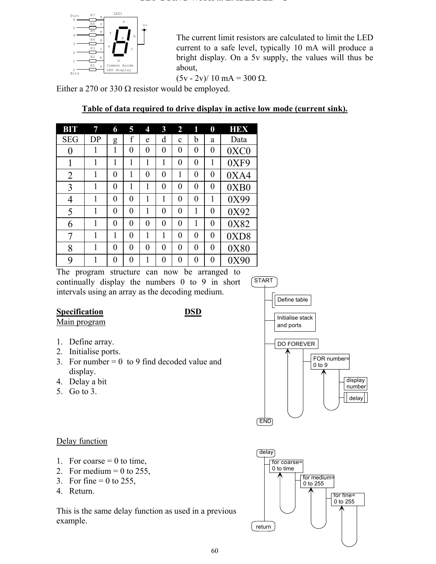

The current limit resistors are calculated to limit the LED current to a safe level, typically 10 mA will produce a bright display. On a 5v supply, the values will thus be about,

 $(5v - 2v)/10$  mA = 300 Ω.

Either a 270 or 330  $\Omega$  resistor would be employed.

| <b>BIT</b>     | 7  | 6 | 5              | 4              | $\overline{\mathbf{3}}$ | $\overline{2}$ | 1              | $\boldsymbol{0}$ | HEX  |
|----------------|----|---|----------------|----------------|-------------------------|----------------|----------------|------------------|------|
| <b>SEG</b>     | DP | g | f              | e              | d                       | $\mathbf c$    | b              | a                | Data |
| $\overline{0}$ | 1  | 1 | $\overline{0}$ | $\overline{0}$ | $\overline{0}$          | $\overline{0}$ | $\overline{0}$ | $\boldsymbol{0}$ | 0XC0 |
| 1              | 1  | 1 | 1              | 1              | 1                       | $\overline{0}$ | $\overline{0}$ | 1                | 0XF9 |
| $\overline{2}$ | 1  | 0 | 1              | $\overline{0}$ | $\overline{0}$          | 1              | $\overline{0}$ | $\boldsymbol{0}$ | 0XA4 |
| 3              | 1  | 0 | 1              | 1              | 0                       | $\overline{0}$ | $\overline{0}$ | $\overline{0}$   | 0XB0 |
| 4              | 1  | 0 | 0              | 1              | 1                       | 0              | $\theta$       | 1                | 0X99 |
| 5              | 1  | 0 | $\overline{0}$ | 1              | 0                       | 0              | 1              | $\overline{0}$   | 0X92 |
| 6              | 1  | 0 | $\overline{0}$ | 0              | $\overline{0}$          | $\overline{0}$ | 1              | $\boldsymbol{0}$ | 0X82 |
| 7              | 1  | 1 | $\overline{0}$ | 1              | 1                       | $\overline{0}$ | $\overline{0}$ | $\boldsymbol{0}$ | 0XD8 |
| 8              |    | 0 | $\overline{0}$ | $\overline{0}$ | 0                       | $\overline{0}$ | $\overline{0}$ | $\overline{0}$   | 0X80 |
| 9              |    | 0 | 0              | 1              | 0                       | 0              | $\overline{0}$ | 0                | 0X90 |

**Table of data required to drive display in active low mode (current sink).**

The program structure can now be arranged to continually display the numbers 0 to 9 in short intervals using an array as the decoding medium.

## **Specification** DSD

Main program

- 1. Define array.
- 2. Initialise ports.
- 3. For number  $= 0$  to 9 find decoded value and display.
- 4. Delay a bit
- 5. Go to 3.

## Delay function

- 1. For coarse  $= 0$  to time,
- 2. For medium  $= 0$  to 255,
- 3. For fine  $= 0$  to 255,
- 4. Return.

This is the same delay function as used in a previous example.



return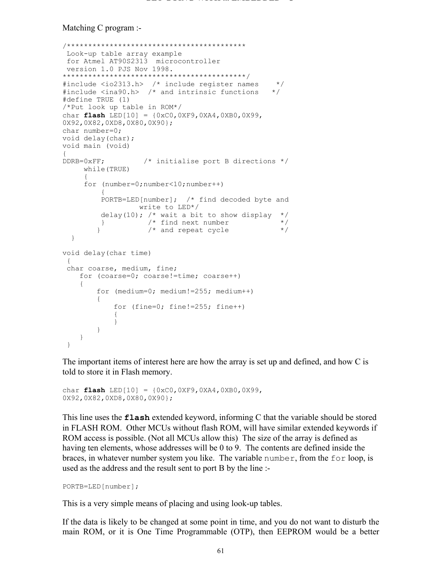#### Matching C program :-

```
/******************************************
 Look-up table array example
  for Atmel AT90S2313 microcontroller
 version 1.0 PJS Nov 1998.
*******************************************/
#include <io2313.h> /* include register names */
#include <ina90.h> /* and intrinsic functions */
#define TRUE (1)
/*Put look up table in ROM*/
char flash LED[10] = {0xC0,0XF9,0XA4,0XB0,0X99, 
0X92,0X82,0XD8,0X80,0X90};
char number=0;
void delay(char);
void main (void)
{
DDRB=0xFF; /* initialise port B directions */
      while(TRUE)
      {
      for (number=0;number<10;number++)
\{ PORTB=LED[number]; /* find decoded byte and 
                write to LED*/
         delay(10); /* wait a bit to show display */\frac{1}{2} /* find next number \frac{1}{2} */<br>/* and repeat cycle */
        } /* and repeat cycle
   }
void delay(char time)
  {
  char coarse, medium, fine;
     for (coarse=0; coarse!=time; coarse++)
     {
         for (medium=0; medium!=255; medium++)
\{ for (fine=0; fine!=255; fine++)
\{ }
         }
     }
  }
```
The important items of interest here are how the array is set up and defined, and how C is told to store it in Flash memory.

```
char flash LED[10] = {0xC0,0XF9,0XA4,0XB0,0X99, 
0X92,0X82,0XD8,0X80,0X90};
```
This line uses the **flash** extended keyword, informing C that the variable should be stored in FLASH ROM. Other MCUs without flash ROM, will have similar extended keywords if ROM access is possible. (Not all MCUs allow this) The size of the array is defined as having ten elements, whose addresses will be 0 to 9. The contents are defined inside the braces, in whatever number system you like. The variable number, from the for loop, is used as the address and the result sent to port B by the line :-

PORTB=LED[number];

This is a very simple means of placing and using look-up tables.

If the data is likely to be changed at some point in time, and you do not want to disturb the main ROM, or it is One Time Programmable (OTP), then EEPROM would be a better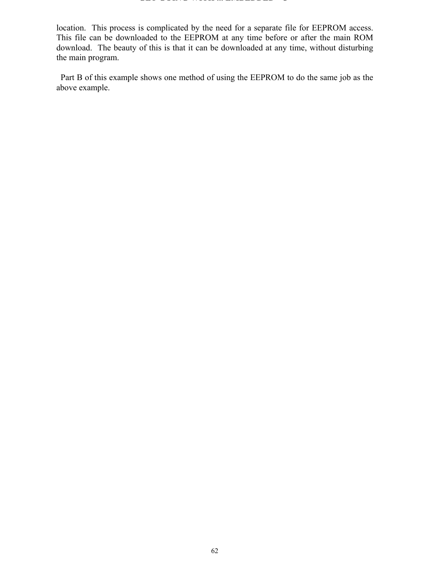#### **GET GOING WITH ... EMBEDDED C**

location. This process is complicated by the need for a separate file for EEPROM access. This file can be downloaded to the EEPROM at any time before or after the main ROM download. The beauty of this is that it can be downloaded at any time, without disturbing the main program.

 Part B of this example shows one method of using the EEPROM to do the same job as the above example.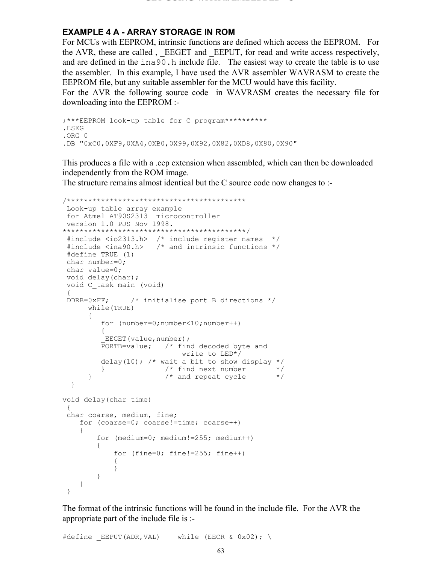#### **EXAMPLE 4 A - ARRAY STORAGE IN ROM**

For MCUs with EEPROM, intrinsic functions are defined which access the EEPROM. For the AVR, these are called, EEGET and EEPUT, for read and write access respectively, and are defined in the inago.h include file. The easiest way to create the table is to use the assembler. In this example, I have used the AVR assembler WAVRASM to create the EEPROM file, but any suitable assembler for the MCU would have this facility.

For the AVR the following source code in WAVRASM creates the necessary file for downloading into the EEPROM :-

```
;***EEPROM look-up table for C program**********
.ESEG
.ORG 0
.DB "0xC0,0XF9,0XA4,0XB0,0X99,0X92,0X82,0XD8,0X80,0X90"
```
This produces a file with a .eep extension when assembled, which can then be downloaded independently from the ROM image.

The structure remains almost identical but the C source code now changes to :-

```
/******************************************
 Look-up table array example
 for Atmel AT90S2313 microcontroller
 version 1.0 PJS Nov 1998.
*******************************************/
  #include <io2313.h> /* include register names */
  #include <ina90.h> /* and intrinsic functions */
 #define TRUE (1)
 char number=0;
 char value=0;
 void delay(char);
 void C_task main (void)
 {
  DDRB=0xFF; /* initialise port B directions */
      while(TRUE)
       {
          for (number=0;number<10;number++)
\{EEGET(value,number);
          PORTB=value; /* find decoded byte and
                            write to LED*/
         delay(10); /* wait a bit to show display */<br>}<br>/* find next number */
        } /* find next number */* and repeat cycle *{}^{\prime} and repeat cycle
   }
void delay(char time)
  {
  char coarse, medium, fine;
    for (coarse=0; coarse!=time; coarse++)
     {
         for (medium=0; medium!=255; medium++)
\{ for (fine=0; fine!=255; fine++)
\{ }
         }
     }
  }
```
The format of the intrinsic functions will be found in the include file. For the AVR the appropriate part of the include file is :-

#define EEPUT(ADR,VAL) while (EECR & 0x02); \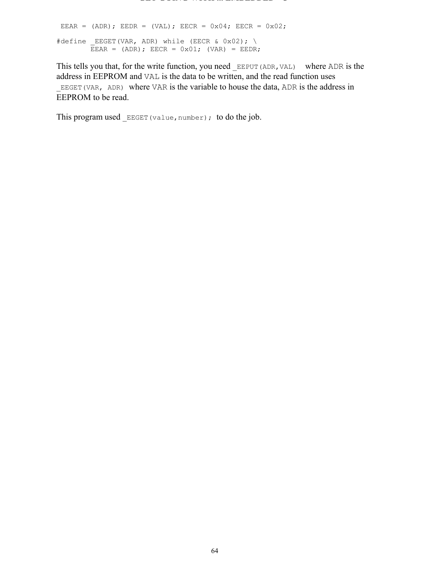EEAR = (ADR); EEDR = (VAL); EECR =  $0 \times 04$ ; EECR =  $0 \times 02$ ; #define \_EEGET(VAR, ADR) while (EECR & 0x02); \ EEAR =  $(ADR)$ ; EECR =  $0x01$ ;  $(VAR)$  = EEDR;

This tells you that, for the write function, you need EEPUT (ADR, VAL) where ADR is the address in EEPROM and VAL is the data to be written, and the read function uses EEGET (VAR, ADR) where VAR is the variable to house the data, ADR is the address in EEPROM to be read.

This program used  $EEGET(value, number)$ ; to do the job.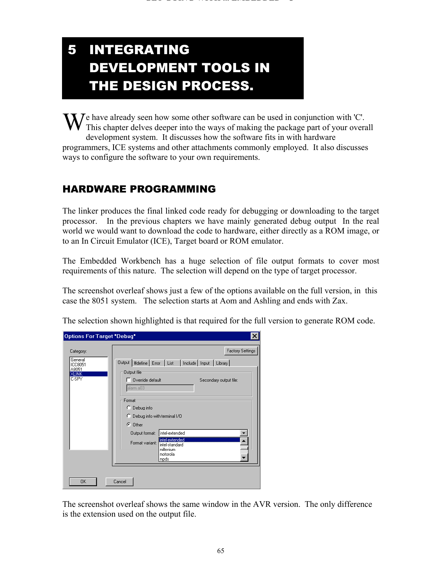# T 5 INTEGRATING DEVELOPMENT TOOLS IN THE DESIGN PROCESS.

We have already seen how some other software can be used in conjunction with 'C'.<br>This chapter delves deeper into the ways of making the package part of your over This chapter delves deeper into the ways of making the package part of your overall development system. It discusses how the software fits in with hardware programmers, ICE systems and other attachments commonly employed. It also discusses ways to configure the software to your own requirements.

## HARDWARE PROGRAMMING

The linker produces the final linked code ready for debugging or downloading to the target processor. In the previous chapters we have mainly generated debug output In the real world we would want to download the code to hardware, either directly as a ROM image, or to an In Circuit Emulator (ICE), Target board or ROM emulator.

The Embedded Workbench has a huge selection of file output formats to cover most requirements of this nature. The selection will depend on the type of target processor.

The screenshot overleaf shows just a few of the options available on the full version, in this case the 8051 system. The selection starts at Aom and Ashling and ends with Zax.

|  | The selection shown highlighted is that required for the full version to generate ROM code. |  |
|--|---------------------------------------------------------------------------------------------|--|
|  |                                                                                             |  |

| Options For Target "Debug"                                 |                                                                                                                                                                                                                                                                                                                    | ×                                                 |
|------------------------------------------------------------|--------------------------------------------------------------------------------------------------------------------------------------------------------------------------------------------------------------------------------------------------------------------------------------------------------------------|---------------------------------------------------|
| Category:<br>General<br>ICC8051<br>A8051<br>XLINK<br>C-SPY | Output   #define   Error   List   Include   Input   Library  <br>Output file<br>Override default<br>alarm.a03<br>Format<br>C Debug info<br>C Debug info with terminal I/O<br>$G$ Other<br>intel-extended<br>Output format:<br>intel-extended<br>Format variant:<br>intel-standard<br>millenium<br>motorola<br>mpds | <b>Factory Settings</b><br>Secondary output file: |
| 0K                                                         | Cancel                                                                                                                                                                                                                                                                                                             |                                                   |

The screenshot overleaf shows the same window in the AVR version. The only difference is the extension used on the output file.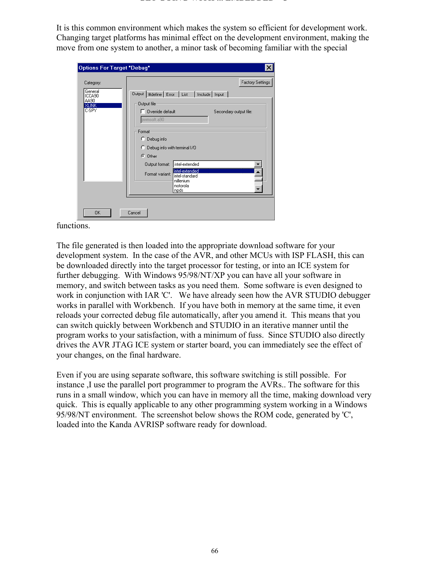It is this common environment which makes the system so efficient for development work. Changing target platforms has minimal effect on the development environment, making the move from one system to another, a minor task of becoming familiar with the special

| Options For Target "Debug"                                |                                                                                                                                 |
|-----------------------------------------------------------|---------------------------------------------------------------------------------------------------------------------------------|
| Category:                                                 | <b>Factory Settings</b>                                                                                                         |
| General<br>ICCA90<br>AA90<br><b>XLINK</b><br><b>C-SPY</b> | Output   #define   Error   List   Include   Input  <br>Output file<br>Override default<br>Secondary output file:<br>pwmsoft.a90 |
|                                                           | Format<br>C.<br>Debug info<br>Debug info with terminal I/O<br>О<br>C Other                                                      |
|                                                           | intel-extended<br>Output format:<br>intel-extended<br>Format variant:<br>intel-standard<br>millenium<br>motorola<br>mpds        |
| OK                                                        | Cancel                                                                                                                          |

functions.

The file generated is then loaded into the appropriate download software for your development system. In the case of the AVR, and other MCUs with ISP FLASH, this can be downloaded directly into the target processor for testing, or into an ICE system for further debugging. With Windows 95/98/NT/XP you can have all your software in memory, and switch between tasks as you need them. Some software is even designed to work in conjunction with IAR 'C'. We have already seen how the AVR STUDIO debugger works in parallel with Workbench. If you have both in memory at the same time, it even reloads your corrected debug file automatically, after you amend it. This means that you can switch quickly between Workbench and STUDIO in an iterative manner until the program works to your satisfaction, with a minimum of fuss. Since STUDIO also directly drives the AVR JTAG ICE system or starter board, you can immediately see the effect of your changes, on the final hardware.

Even if you are using separate software, this software switching is still possible. For instance ,I use the parallel port programmer to program the AVRs.. The software for this runs in a small window, which you can have in memory all the time, making download very quick. This is equally applicable to any other programming system working in a Windows 95/98/NT environment. The screenshot below shows the ROM code, generated by 'C', loaded into the Kanda AVRISP software ready for download.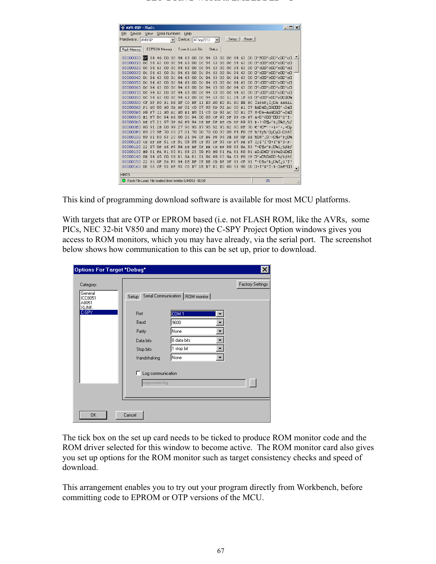#### **GET GOING WITH ... EMBEDDED C**

| AVR-ISP - Flash:                                                                                                                                | $ \Box$ $\times$ $\Box$                     |
|-------------------------------------------------------------------------------------------------------------------------------------------------|---------------------------------------------|
| Serial Numbers<br>Help<br>Device<br>View<br>File                                                                                                |                                             |
| $\overline{\bullet}$     Setup   <br>Reset<br>Hardware: AVRISP<br>Device:   ATtiny2313                                                          |                                             |
|                                                                                                                                                 |                                             |
| EEPROM Memory<br>Fuses & Lock Bits<br>Status<br>Flash Memory                                                                                    |                                             |
| 00000000 00 94 46 00 0c 94<br>63<br>00 <sub>1</sub><br>$0c$ 94<br>00 OC 94 63<br>63                                                             | 00 0"FOO"cOO"cOO"cO                         |
| nnnnnnn.<br>nc:<br>94<br>63<br>nn<br>nc:<br>94<br>63<br>00<br>nc:<br>94<br>63<br>nc:<br>94<br>63<br>nn<br>nn                                    | 0"c00"c00"c00"c0                            |
| 00000020 OC<br>94<br>63<br>00<br>- 94<br>94<br>63<br>00<br>OC.<br>DC.<br>94<br>63<br>0 <sup>c</sup><br>63<br>۵O<br>OΟ                           | $\Box''$ c00"c00"c00"c0                     |
| 00000030<br>0c<br>94<br>63<br>00<br>94<br>63<br>94<br>63<br>00<br>OC<br>0c<br>94<br>63<br>00<br>OC<br>OO                                        | 0"c00"c00"c00"c0                            |
| 94<br>63<br>94<br>00000040 OC<br>Q4<br>63<br>00<br>0 <sup>c</sup><br>00<br>$Q_4$<br>63<br>OC<br>63<br>DC.<br>OΟ<br>OO.                          | $\Box''$ c00"c00"c00"c0                     |
| 94<br>63<br>94<br>00000050<br>DC.<br>94<br>63<br>00<br>OC<br>00<br>94<br>63<br>00<br>OC<br>63<br>0c<br>OO.                                      | 0"c00"c00"c00"c0                            |
| 00000060<br>94<br>63<br>94<br>0 <sup>c</sup><br>94<br>0 <sup>c</sup><br>94<br>63<br>00<br>0 <sup>c</sup><br>OO.<br>DC.<br>63<br>63<br>OΟ<br>OO. | $\Box''$ c00"c00"c00"c0                     |
| nnnnnn?n<br>63<br>94<br>63<br>00<br>94<br>63<br>94<br>63<br>nc:<br>94<br>00<br>nc:<br>0c<br>nn<br>nc:<br>OO.                                    | 0"c00"c00"c00"c0                            |
| 00000080<br>0 <sup>c</sup><br>94<br>63<br>00<br>94<br>11 24<br>1F<br>94<br>63<br>00<br>OC.<br>DC.<br>63<br>00<br><b>BE</b>                      | 0"c00"c00"c00\$0%                           |
| E1<br>11 EO<br>AO<br>B1 EO<br>00000090<br>CF.<br>EF<br>D <sub>0</sub><br>DE<br>BF<br>CD<br>BF<br>EO<br>EE<br>EC                                 | ÏĭĐáÞ¿Í¿□à à±àîì                            |
| 000000A0 F1<br>EO<br>02<br>07 90<br>OD 92 AC 30<br>B1<br><b>RO</b><br>nn<br><b>OB</b><br><b>BF</b><br>CO                                        | 07 ñàDàD;DÀDDD'¬0±D                         |
| 000000B0 D9<br>E <sub>0</sub><br>CO<br>92 AC<br>-30<br>B1<br>07<br>F7<br>11<br>AC.<br>E0<br><b>B1 E0</b><br>01<br>1D                            | <b>U±0−`DÁDá±á−áD÷Ú</b>                     |
| 000000CO E1<br>94<br>D <sub>6</sub><br>OC.<br>94<br>00<br>93 DF<br>-93<br><b>B7</b><br>F7<br>0 <sup>c</sup><br>۵O<br>۵O<br>CF<br>CD             | á÷O″ÖOO″OOĨ™ß™Í∙                            |
| F8<br>000000D0 DE<br>2.1<br>97<br><b>B6</b><br>94<br>BE CD BF<br>89<br>B7<br>OF<br>DE BF<br>0F                                                  | 83 D !-O¶ø″D;O¥Í;%f                         |
| 87 95 92 95 82 95<br>000000E0 80<br>2B<br>99<br>27<br>96<br>95<br>8F<br>91<br>00                                                                | 70 € '+0™' - +± • ' • , •0p                 |
| 89<br>27<br>81<br>70<br>90 70<br>97 09 F4 F0<br><b>OOOOORO</b><br>89<br>27<br>9F<br>70<br>00                                                    | CF ‰'Yp‰'OpOpO-Oôðï                         |
| 00000100 89<br>80<br>21<br>96<br><b>B6 F8</b><br>81<br>93<br>2 <sub>c</sub><br>00<br><b>OF</b><br>94 DE<br>BF<br>0F                             | BE %D€™, D!-O¶ø″Þ; D¥                       |
| 95<br>93<br>B7<br>00000110<br>91<br>91<br>08<br>93<br>$\rm DF$<br>CD<br>$DE$<br>B7<br>CD<br>BF<br>DF<br>CF<br>CF                                | i, ß`ï`⊡ ï™ß™í Þ                            |
| 89<br>00000120<br>22<br>97<br>ЛF<br><b>B6</b><br>F8<br>94<br>DE<br>BF<br><b>BE</b><br>83<br>9A 83<br>OF<br>CD<br>BF                             | ″−O¶∅″⊅;⊡¥í;%fšf                            |
| 81<br>88<br>23<br>00000130<br>E <sub>9</sub><br>81<br>81<br>80<br>59<br>F <sub>0</sub><br>E9<br>81<br>FA 81<br>80<br>81<br>FA                   | é□ú□€□^#¥ðé□ú□€□                            |
| 00000140 OE<br>81<br>9A 81<br>01 96<br>89<br>83<br>9A 83<br>94<br>-65<br>00<br>89<br>FO<br>CF                                                   | □"e□%□ě□□-%fšfőï                            |
| 2.2.<br>00000150<br>96<br>B <sub>6</sub><br>F8<br>94<br>91<br>CF<br>91<br>ЛF<br>DE BF<br>0F<br>BE CD BF<br>DF                                   | "-O¶ø"Þ; O¥Í; ß`Ï`                          |
| 00000160 08 95 CF 93<br>DF 93 CD B7 DE B7 81 EO<br>80 93<br>90                                                                                  | 00 O.ï™ß™Í·Þ·Oà€™OO<br>$\blacktriangledown$ |
| HINTS:                                                                                                                                          |                                             |
|                                                                                                                                                 |                                             |
| C Flash File Load: File loaded (Intel Intellex 8/MDS) - 00:00                                                                                   | 0 <sup>2</sup>                              |

This kind of programming download software is available for most MCU platforms.

With targets that are OTP or EPROM based (i.e. not FLASH ROM, like the AVRs, some PICs, NEC 32-bit V850 and many more) the C-SPY Project Option windows gives you access to ROM monitors, which you may have already, via the serial port. The screenshot below shows how communication to this can be set up, prior to download.

| Options For Target "Debug"      |                                               |                                                               | ×                       |
|---------------------------------|-----------------------------------------------|---------------------------------------------------------------|-------------------------|
| Category:<br>General<br>ICC8051 | Setup                                         | Serial Communication   ROM monitor                            | <b>Factory Settings</b> |
| A8051<br><b>XLINK</b><br>C-SPY  | Port<br>Baud<br>Parity<br>Data bits           | COM <sub>1</sub><br>9600<br>None<br>8 data bits<br>1 stop bit |                         |
|                                 | Stop bits<br>Handshaking<br>Log communication | None                                                          |                         |
|                                 | espycomm.log                                  |                                                               |                         |
| 0K                              | Cancel                                        |                                                               |                         |

The tick box on the set up card needs to be ticked to produce ROM monitor code and the ROM driver selected for this window to become active. The ROM monitor card also gives you set up options for the ROM monitor such as target consistency checks and speed of download.

This arrangement enables you to try out your program directly from Workbench, before committing code to EPROM or OTP versions of the MCU.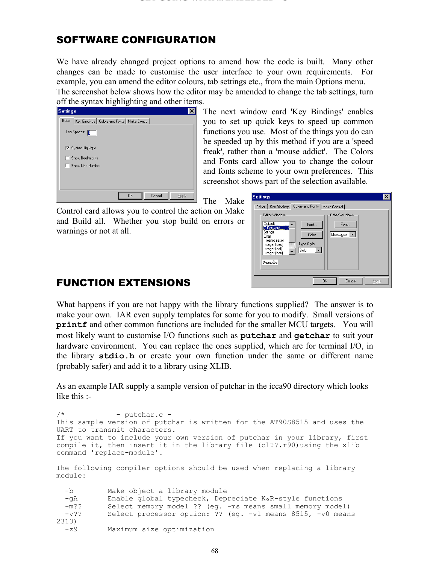## SOFTWARE CONFIGURATION

We have already changed project options to amend how the code is built. Many other changes can be made to customise the user interface to your own requirements. For example, you can amend the editor colours, tab settings etc., from the main Options menu. The screenshot below shows how the editor may be amended to change the tab settings, turn

off the syntax highlighting and other items.

| <b>Settings</b>                                         |           |        |       |
|---------------------------------------------------------|-----------|--------|-------|
| Editor   Key Bindings   Colors and Fonts   Make Control |           |        |       |
| Tab Spaces: 0                                           |           |        |       |
| Ⅳ Syntax Highlight                                      |           |        |       |
| Show Bookmarks                                          |           |        |       |
| Show Line Number                                        |           |        |       |
|                                                         |           |        |       |
|                                                         |           |        |       |
|                                                         | <b>OK</b> | Cancel | Apply |

The next window card 'Key Bindings' enables you to set up quick keys to speed up common functions you use. Most of the things you do can be speeded up by this method if you are a 'speed freak', rather than a 'mouse addict'. The Colors and Fonts card allow you to change the colour and fonts scheme to your own preferences. This screenshot shows part of the selection available.

The Make

Control card allows you to control the action on Make and Build all. Whether you stop build on errors or warnings or not at all.

| <b>Settings</b>                                                                                                                                                                                                                                                                         |  |
|-----------------------------------------------------------------------------------------------------------------------------------------------------------------------------------------------------------------------------------------------------------------------------------------|--|
| Colors and Fonts   Make Control  <br>Editor   Key Bindings<br>Editor Window<br>Other Windows<br>Default<br>Font<br>Font<br><b>C</b> Keyword<br>Strings<br>Messages<br>Color<br>Char<br>Preprocessor<br>Type Style:<br>Integer (dec)<br>Integer (oct)<br>Bold<br>Integer (hex)<br>Sample |  |
| <b>OK</b><br>Cancel<br>Apply                                                                                                                                                                                                                                                            |  |

## FUNCTION EXTENSIONS

What happens if you are not happy with the library functions supplied? The answer is to make your own. IAR even supply templates for some for you to modify. Small versions of **printf** and other common functions are included for the smaller MCU targets. You will most likely want to customise I/O functions such as **putchar** and **getchar** to suit your hardware environment. You can replace the ones supplied, which are for terminal I/O, in the library **stdio.h** or create your own function under the same or different name (probably safer) and add it to a library using XLIB.

As an example IAR supply a sample version of putchar in the icca90 directory which looks like this :-

 $/*$  - putchar.c -This sample version of putchar is written for the AT90S8515 and uses the UART to transmit characters. If you want to include your own version of putchar in your library, first compile it, then insert it in the library file (cl??.r90)using the xlib command 'replace-module'. The following compiler options should be used when replacing a library module: -b Make object a library module -gA Enable global typecheck, Depreciate K&R-style functions -m?? Select memory model ?? (eg. -ms means small memory model) -v?? Select processor option: ?? (eg. -v1 means 8515, -v0 means 2313) -z9 Maximum size optimization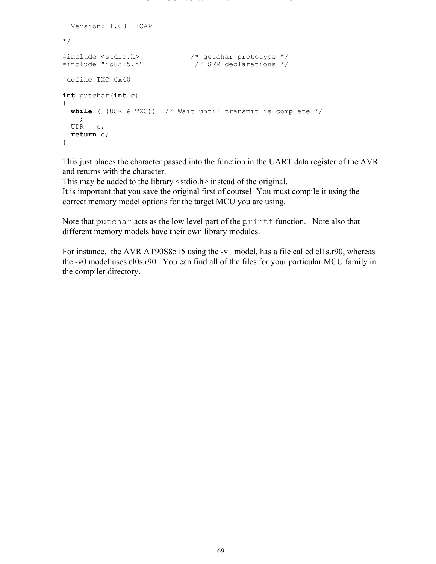```
 Version: 1.03 [ICAP]
*/
#include <stdio.h> /* getchar prototype */
#include "io8515.h" /* SFR declarations */
#define TXC 0x40
int putchar(int c)
{
  while (!(USR & TXC)) /* Wait until transmit is complete */
\mathcal{L}UDR = c; return c;
}
```
This just places the character passed into the function in the UART data register of the AVR and returns with the character.

This may be added to the library <stdio.h> instead of the original. It is important that you save the original first of course! You must compile it using the correct memory model options for the target MCU you are using.

Note that putchar acts as the low level part of the printf function. Note also that different memory models have their own library modules.

For instance, the AVR AT90S8515 using the -v1 model, has a file called cl1s.r90, whereas the -v0 model uses cl0s.r90. You can find all of the files for your particular MCU family in the compiler directory.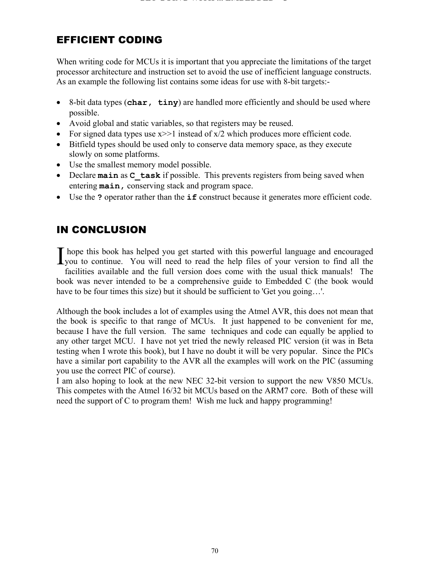## EFFICIENT CODING

When writing code for MCUs it is important that you appreciate the limitations of the target processor architecture and instruction set to avoid the use of inefficient language constructs. As an example the following list contains some ideas for use with 8-bit targets:-

- 8-bit data types (**char, tiny**) are handled more efficiently and should be used where possible.
- Avoid global and static variables, so that registers may be reused.
- For signed data types use  $x \geq 1$  instead of  $x/2$  which produces more efficient code.
- Bitfield types should be used only to conserve data memory space, as they execute slowly on some platforms.
- Use the smallest memory model possible.
- Declare **main** as **C** task if possible. This prevents registers from being saved when entering **main,** conserving stack and program space.
- Use the **?** operator rather than the **if** construct because it generates more efficient code.

## IN CONCLUSION

 hope this book has helped you get started with this powerful language and encouraged I hope this book has helped you get started with this powerful language and encouraged you to continue. You will need to read the help files of your version to find all the facilities available and the full version does come with the usual thick manuals! The book was never intended to be a comprehensive guide to Embedded C (the book would have to be four times this size) but it should be sufficient to 'Get you going...'.

Although the book includes a lot of examples using the Atmel AVR, this does not mean that the book is specific to that range of MCUs. It just happened to be convenient for me, because I have the full version. The same techniques and code can equally be applied to any other target MCU. I have not yet tried the newly released PIC version (it was in Beta testing when I wrote this book), but I have no doubt it will be very popular. Since the PICs have a similar port capability to the AVR all the examples will work on the PIC (assuming you use the correct PIC of course).

I am also hoping to look at the new NEC 32-bit version to support the new V850 MCUs. This competes with the Atmel 16/32 bit MCUs based on the ARM7 core. Both of these will need the support of C to program them! Wish me luck and happy programming!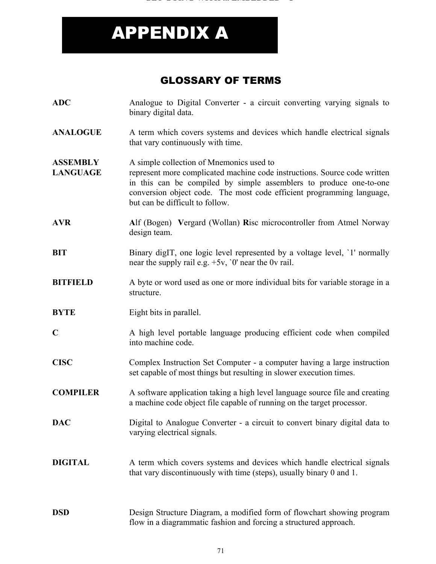# APPENDIX A

## GLOSSARY OF TERMS

- **ADC** Analogue to Digital Converter a circuit converting varying signals to binary digital data.
- **ANALOGUE** A term which covers systems and devices which handle electrical signals that vary continuously with time.

**ASSEMBLY** A simple collection of Mnemonics used to

- LANGUAGE represent more complicated machine code instructions. Source code written in this can be compiled by simple assemblers to produce one-to-one conversion object code. The most code efficient programming language, but can be difficult to follow.
- **AVR A**lf (Bogen) **V**ergard (Wollan) **R**isc microcontroller from Atmel Norway design team.
- **BIT** Binary digIT, one logic level represented by a voltage level, '1' normally near the supply rail e.g.  $+5v$ , '0' near the 0v rail.
- **BITFIELD** A byte or word used as one or more individual bits for variable storage in a structure.
- **BYTE** Eight bits in parallel.
- **C** A high level portable language producing efficient code when compiled into machine code.
- **CISC** Complex Instruction Set Computer a computer having a large instruction set capable of most things but resulting in slower execution times.
- **COMPILER** A software application taking a high level language source file and creating a machine code object file capable of running on the target processor.
- **DAC** Digital to Analogue Converter a circuit to convert binary digital data to varying electrical signals.
- **DIGITAL** A term which covers systems and devices which handle electrical signals that vary discontinuously with time (steps), usually binary 0 and 1.
- **DSD** Design Structure Diagram, a modified form of flowchart showing program flow in a diagrammatic fashion and forcing a structured approach.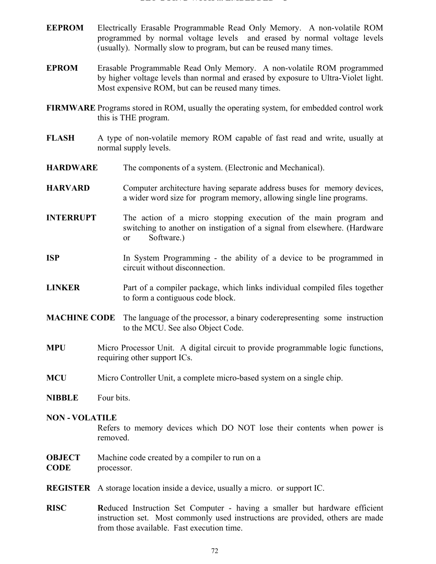#### **GET GOING WITH ... EMBEDDED C**

- **EEPROM** Electrically Erasable Programmable Read Only Memory. A non-volatile ROM programmed by normal voltage levels and erased by normal voltage levels (usually). Normally slow to program, but can be reused many times.
- **EPROM** Erasable Programmable Read Only Memory. A non-volatile ROM programmed by higher voltage levels than normal and erased by exposure to Ultra-Violet light. Most expensive ROM, but can be reused many times.
- **FIRMWARE** Programs stored in ROM, usually the operating system, for embedded control work this is THE program.
- **FLASH** A type of non-volatile memory ROM capable of fast read and write, usually at normal supply levels.
- **HARDWARE** The components of a system. (Electronic and Mechanical).
- **HARVARD** Computer architecture having separate address buses for memory devices, a wider word size for program memory, allowing single line programs.
- **INTERRUPT** The action of a micro stopping execution of the main program and switching to another on instigation of a signal from elsewhere. (Hardware or Software.)
- **ISP** In System Programming the ability of a device to be programmed in circuit without disconnection.
- **LINKER** Part of a compiler package, which links individual compiled files together to form a contiguous code block.
- **MACHINE CODE** The language of the processor, a binary coderepresenting some instruction to the MCU. See also Object Code.
- **MPU** Micro Processor Unit. A digital circuit to provide programmable logic functions, requiring other support ICs.
- **MCU** Micro Controller Unit, a complete micro-based system on a single chip.
- **NIBBLE** Four bits.

#### **NON - VOLATILE**

Refers to memory devices which DO NOT lose their contents when power is removed.

**OBJECT** Machine code created by a compiler to run on a

**CODE** processor.

- **REGISTER** A storage location inside a device, usually a micro. or support IC.
- **RISC R**educed Instruction Set Computer having a smaller but hardware efficient instruction set. Most commonly used instructions are provided, others are made from those available. Fast execution time.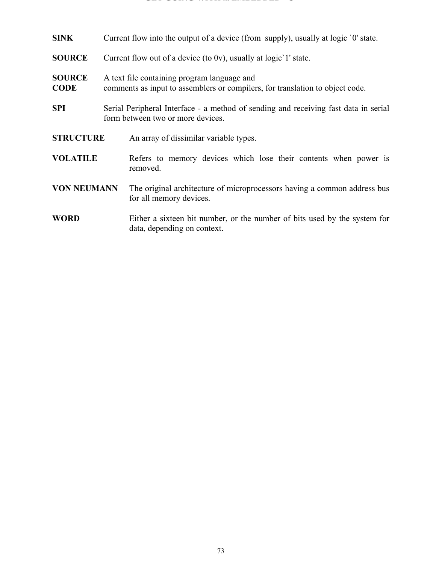#### **GET GOING WITH ... EMBEDDED C**

| SINK                         | Current flow into the output of a device (from supply), usually at logic '0' state.                                          |                                                                                                                          |
|------------------------------|------------------------------------------------------------------------------------------------------------------------------|--------------------------------------------------------------------------------------------------------------------------|
| <b>SOURCE</b>                | Current flow out of a device (to 0v), usually at logic $1'$ state.                                                           |                                                                                                                          |
| <b>SOURCE</b><br><b>CODE</b> | A text file containing program language and<br>comments as input to assemblers or compilers, for translation to object code. |                                                                                                                          |
| SPI                          |                                                                                                                              | Serial Peripheral Interface - a method of sending and receiving fast data in serial<br>form between two or more devices. |
| <b>STRUCTURE</b>             |                                                                                                                              | An array of dissimilar variable types.                                                                                   |
| <b>VOLATILE</b>              |                                                                                                                              | Refers to memory devices which lose their contents when power is<br>removed.                                             |
| <b>VON NEUMANN</b>           |                                                                                                                              | The original architecture of microprocessors having a common address bus<br>for all memory devices.                      |
| <b>WORD</b>                  |                                                                                                                              | Either a sixteen bit number, or the number of bits used by the system for<br>data, depending on context.                 |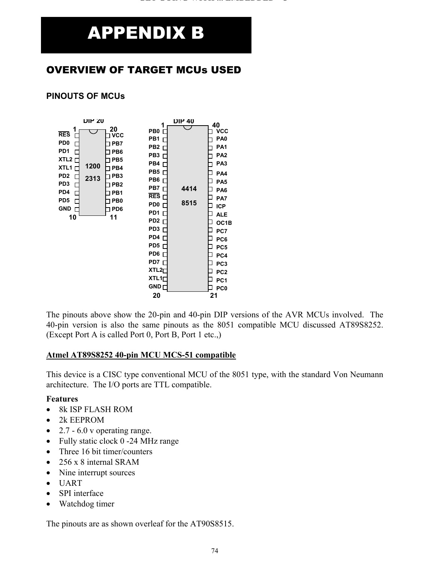# APPENDIX B

### OVERVIEW OF TARGET MCUs USED

#### **PINOUTS OF MCUs**



The pinouts above show the 20-pin and 40-pin DIP versions of the AVR MCUs involved. The 40-pin version is also the same pinouts as the 8051 compatible MCU discussed AT89S8252. (Except Port A is called Port 0, Port B, Port 1 etc.,)

#### **Atmel AT89S8252 40-pin MCU MCS-51 compatible**

This device is a CISC type conventional MCU of the 8051 type, with the standard Von Neumann architecture. The I/O ports are TTL compatible.

#### **Features**

- 8k ISP FLASH ROM
- 2k EEPROM
- 2.7  $6.0$  v operating range.
- Fully static clock 0 -24 MHz range
- Three 16 bit timer/counters
- 256 x 8 internal SRAM
- Nine interrupt sources
- UART
- SPI interface
- Watchdog timer

The pinouts are as shown overleaf for the AT90S8515.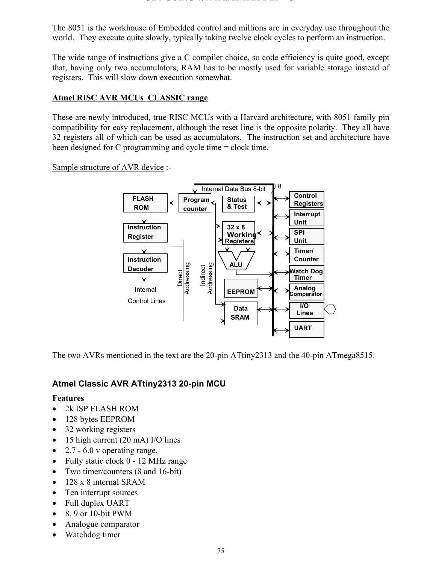The 8051 is the workhouse of Embedded control and millions are in everyday use throughout the world. They execute quite slowly, typically taking twelve clock cycles to perform an instruction.

The wide range of instructions give a C compiler choice, so code efficiency is quite good, except that, having only two accumulators, RAM has to be mostly used for variable storage instead of registers. This will slow down execution somewhat.

#### **Atmel RISC AVR MCUs CLASSIC range**

These are newly introduced, true RISC MCUs with a Harvard architecture, with 8051 family pin compatibility for easy replacement, although the reset line is the opposite polarity. They all have 32 registers all of which can be used as accumulators. The instruction set and architecture have been designed for C programming and cycle time = clock time.

Sample structure of AVR device :-



The two AVRs mentioned in the text are the 20-pin ATtiny2313 and the 40-pin ATmega8515.

#### **Atmel Classic AVR ATtiny2313 20-pin MCU**

#### **Features**

- 2k ISP FLASH ROM
- 128 bytes EEPROM
- 32 working registers
- 15 high current (20 mA) I/O lines
- 2.7  $-6.0$  v operating range.
- Fully static clock 0 12 MHz range
- Two timer/counters (8 and 16-bit)
- 128 x 8 internal SRAM
- Ten interrupt sources
- Full duplex UART
- 8, 9 or 10-bit PWM
- Analogue comparator
- Watchdog timer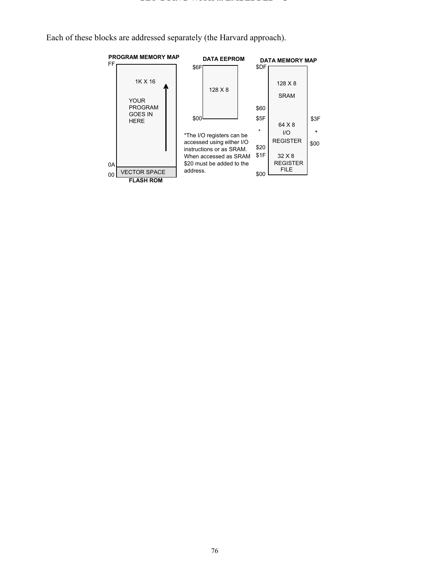Each of these blocks are addressed separately (the Harvard approach).

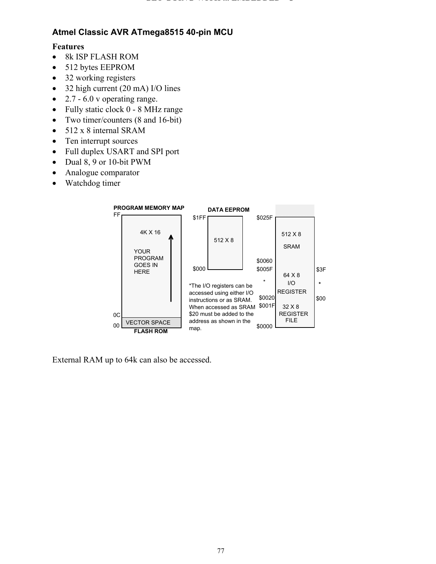#### **Atmel Classic AVR ATmega8515 40-pin MCU**

#### **Features**

- 8k ISP FLASH ROM
- 512 bytes EEPROM
- 32 working registers
- 32 high current (20 mA) I/O lines
- 2.7 6.0 v operating range.
- Fully static clock 0 8 MHz range
- Two timer/counters (8 and 16-bit)
- 512 x 8 internal SRAM
- Ten interrupt sources
- Full duplex USART and SPI port
- Dual 8, 9 or 10-bit PWM
- Analogue comparator
- Watchdog timer



External RAM up to 64k can also be accessed.